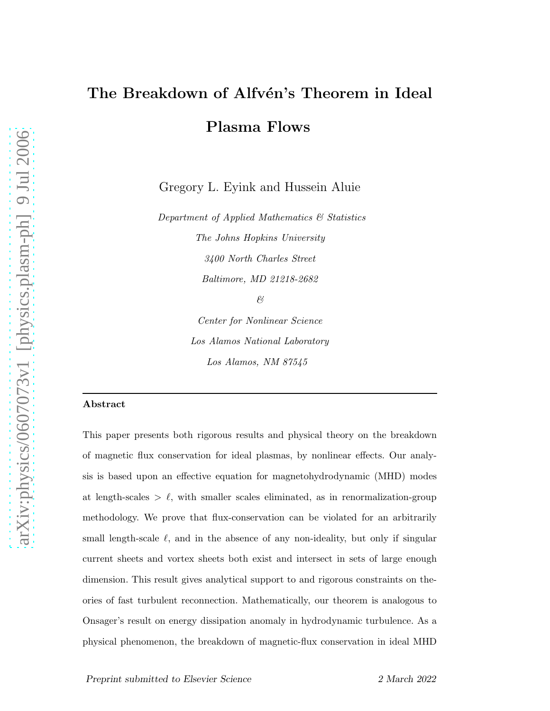# The Breakdown of Alfvén's Theorem in Ideal Plasma Flows

Gregory L. Eyink and Hussein Aluie

Department of Applied Mathematics & Statistics The Johns Hopkins University 3400 North Charles Street Baltimore, MD 21218-2682 &

> Center for Nonlinear Science Los Alamos National Laboratory Los Alamos, NM 87545

# Abstract

This paper presents both rigorous results and physical theory on the breakdown of magnetic flux conservation for ideal plasmas, by nonlinear effects. Our analysis is based upon an effective equation for magnetohydrodynamic (MHD) modes at length-scales  $> \ell$ , with smaller scales eliminated, as in renormalization-group methodology. We prove that flux-conservation can be violated for an arbitrarily small length-scale  $\ell$ , and in the absence of any non-ideality, but only if singular current sheets and vortex sheets both exist and intersect in sets of large enough dimension. This result gives analytical support to and rigorous constraints on theories of fast turbulent reconnection. Mathematically, our theorem is analogous to Onsager's result on energy dissipation anomaly in hydrodynamic turbulence. As a physical phenomenon, the breakdown of magnetic-flux conservation in ideal MHD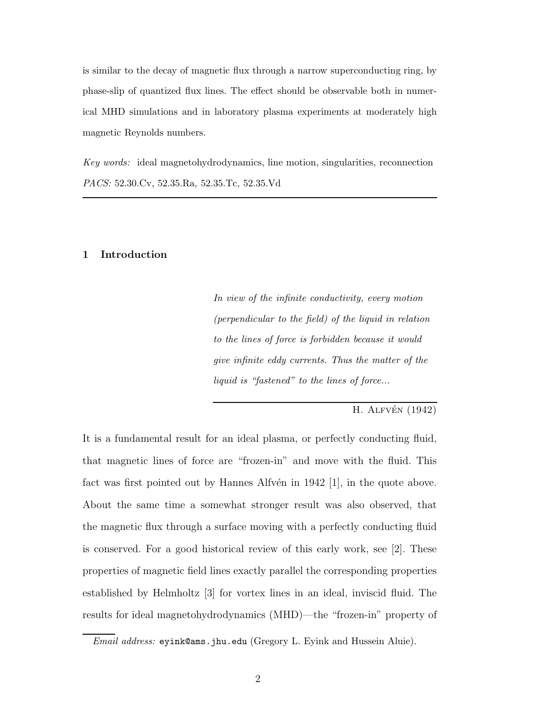is similar to the decay of magnetic flux through a narrow superconducting ring, by phase-slip of quantized flux lines. The effect should be observable both in numerical MHD simulations and in laboratory plasma experiments at moderately high magnetic Reynolds numbers.

Key words: ideal magnetohydrodynamics, line motion, singularities, reconnection PACS: 52.30.Cv, 52.35.Ra, 52.35.Tc, 52.35.Vd

#### 1 Introduction

In view of the infinite conductivity, every motion (perpendicular to the field) of the liquid in relation to the lines of force is forbidden because it would give infinite eddy currents. Thus the matter of the liquid is "fastened" to the lines of force...

H. ALFVÉN  $(1942)$ 

It is a fundamental result for an ideal plasma, or perfectly conducting fluid, that magnetic lines of force are "frozen-in" and move with the fluid. This fact was first pointed out by Hannes Alfvén in  $1942$  [1], in the quote above. About the same time a somewhat stronger result was also observed, that the magnetic flux through a surface moving with a perfectly conducting fluid is conserved. For a good historical review of this early work, see [2]. These properties of magnetic field lines exactly parallel the corresponding properties established by Helmholtz [3] for vortex lines in an ideal, inviscid fluid. The results for ideal magnetohydrodynamics (MHD)—the "frozen-in" property of

Email address: eyink@ams.jhu.edu (Gregory L. Eyink and Hussein Aluie).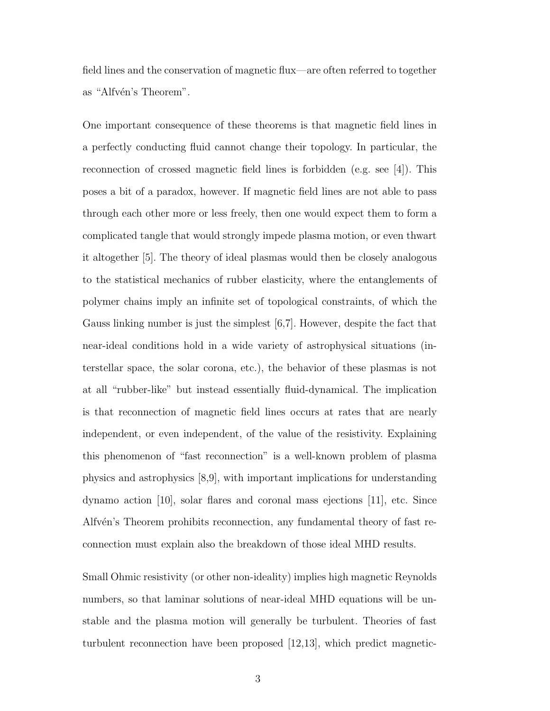field lines and the conservation of magnetic flux—are often referred to together as "Alfvén's Theorem".

One important consequence of these theorems is that magnetic field lines in a perfectly conducting fluid cannot change their topology. In particular, the reconnection of crossed magnetic field lines is forbidden (e.g. see [4]). This poses a bit of a paradox, however. If magnetic field lines are not able to pass through each other more or less freely, then one would expect them to form a complicated tangle that would strongly impede plasma motion, or even thwart it altogether [5]. The theory of ideal plasmas would then be closely analogous to the statistical mechanics of rubber elasticity, where the entanglements of polymer chains imply an infinite set of topological constraints, of which the Gauss linking number is just the simplest [6,7]. However, despite the fact that near-ideal conditions hold in a wide variety of astrophysical situations (interstellar space, the solar corona, etc.), the behavior of these plasmas is not at all "rubber-like" but instead essentially fluid-dynamical. The implication is that reconnection of magnetic field lines occurs at rates that are nearly independent, or even independent, of the value of the resistivity. Explaining this phenomenon of "fast reconnection" is a well-known problem of plasma physics and astrophysics [8,9], with important implications for understanding dynamo action [10], solar flares and coronal mass ejections [11], etc. Since Alfv $\acute{e}$ n's Theorem prohibits reconnection, any fundamental theory of fast reconnection must explain also the breakdown of those ideal MHD results.

Small Ohmic resistivity (or other non-ideality) implies high magnetic Reynolds numbers, so that laminar solutions of near-ideal MHD equations will be unstable and the plasma motion will generally be turbulent. Theories of fast turbulent reconnection have been proposed [12,13], which predict magnetic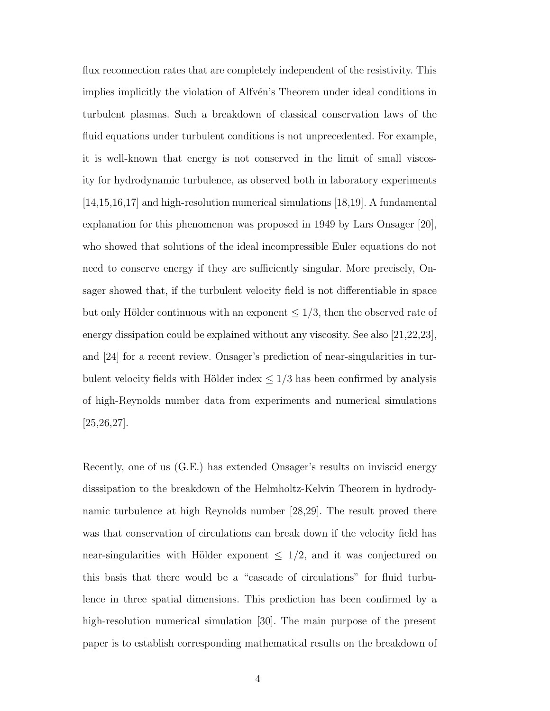flux reconnection rates that are completely independent of the resistivity. This implies implicitly the violation of Alfven's Theorem under ideal conditions in turbulent plasmas. Such a breakdown of classical conservation laws of the fluid equations under turbulent conditions is not unprecedented. For example, it is well-known that energy is not conserved in the limit of small viscosity for hydrodynamic turbulence, as observed both in laboratory experiments [14,15,16,17] and high-resolution numerical simulations [18,19]. A fundamental explanation for this phenomenon was proposed in 1949 by Lars Onsager [20], who showed that solutions of the ideal incompressible Euler equations do not need to conserve energy if they are sufficiently singular. More precisely, Onsager showed that, if the turbulent velocity field is not differentiable in space but only Hölder continuous with an exponent  $\leq 1/3$ , then the observed rate of energy dissipation could be explained without any viscosity. See also [21,22,23], and [24] for a recent review. Onsager's prediction of near-singularities in turbulent velocity fields with Hölder index  $\leq 1/3$  has been confirmed by analysis of high-Reynolds number data from experiments and numerical simulations [25,26,27].

Recently, one of us (G.E.) has extended Onsager's results on inviscid energy disssipation to the breakdown of the Helmholtz-Kelvin Theorem in hydrodynamic turbulence at high Reynolds number [28,29]. The result proved there was that conservation of circulations can break down if the velocity field has near-singularities with Hölder exponent  $\leq 1/2$ , and it was conjectured on this basis that there would be a "cascade of circulations" for fluid turbulence in three spatial dimensions. This prediction has been confirmed by a high-resolution numerical simulation [30]. The main purpose of the present paper is to establish corresponding mathematical results on the breakdown of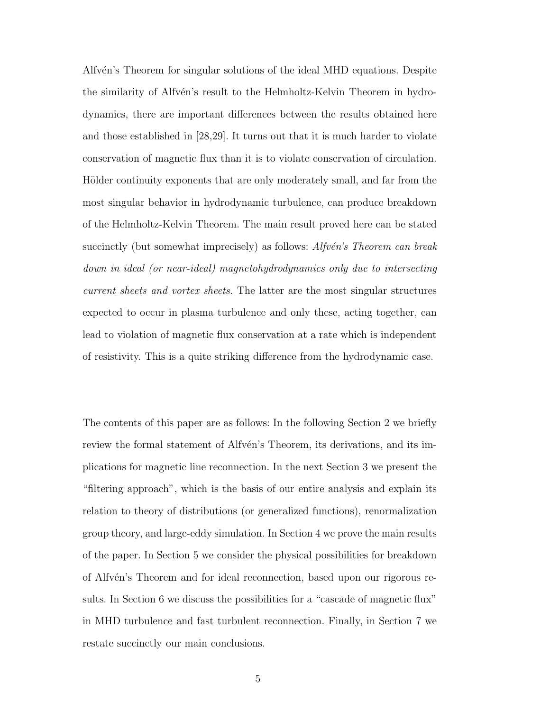Alfv $\acute{e}$ n's Theorem for singular solutions of the ideal MHD equations. Despite the similarity of Alfvén's result to the Helmholtz-Kelvin Theorem in hydrodynamics, there are important differences between the results obtained here and those established in [28,29]. It turns out that it is much harder to violate conservation of magnetic flux than it is to violate conservation of circulation. Hölder continuity exponents that are only moderately small, and far from the most singular behavior in hydrodynamic turbulence, can produce breakdown of the Helmholtz-Kelvin Theorem. The main result proved here can be stated succinctly (but somewhat imprecisely) as follows: Alfvén's Theorem can break down in ideal (or near-ideal) magnetohydrodynamics only due to intersecting current sheets and vortex sheets. The latter are the most singular structures expected to occur in plasma turbulence and only these, acting together, can lead to violation of magnetic flux conservation at a rate which is independent of resistivity. This is a quite striking difference from the hydrodynamic case.

The contents of this paper are as follows: In the following Section 2 we briefly review the formal statement of Alfvén's Theorem, its derivations, and its implications for magnetic line reconnection. In the next Section 3 we present the "filtering approach", which is the basis of our entire analysis and explain its relation to theory of distributions (or generalized functions), renormalization group theory, and large-eddy simulation. In Section 4 we prove the main results of the paper. In Section 5 we consider the physical possibilities for breakdown of Alfvén's Theorem and for ideal reconnection, based upon our rigorous results. In Section 6 we discuss the possibilities for a "cascade of magnetic flux" in MHD turbulence and fast turbulent reconnection. Finally, in Section 7 we restate succinctly our main conclusions.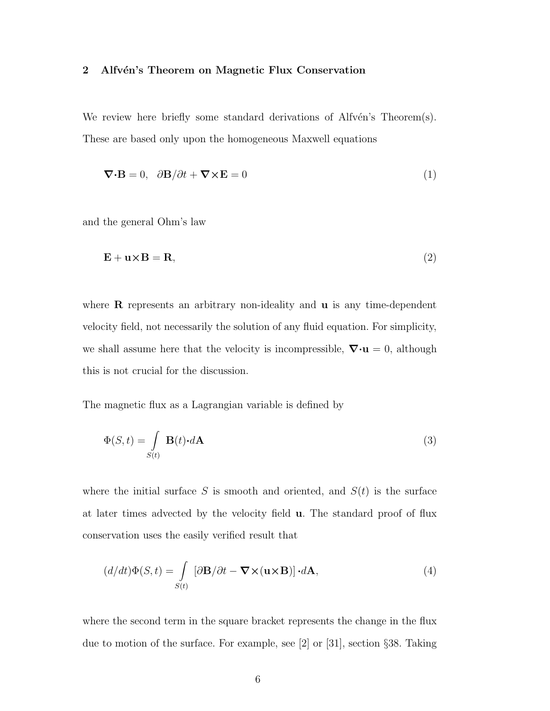## 2 Alfvén's Theorem on Magnetic Flux Conservation

We review here briefly some standard derivations of Alfv $\acute{e}$ n's Theorem(s). These are based only upon the homogeneous Maxwell equations

$$
\nabla \cdot \mathbf{B} = 0, \quad \partial \mathbf{B} / \partial t + \nabla \times \mathbf{E} = 0 \tag{1}
$$

and the general Ohm's law

$$
\mathbf{E} + \mathbf{u} \times \mathbf{B} = \mathbf{R},\tag{2}
$$

where  $\bf{R}$  represents an arbitrary non-ideality and  $\bf{u}$  is any time-dependent velocity field, not necessarily the solution of any fluid equation. For simplicity, we shall assume here that the velocity is incompressible,  $\nabla \cdot \mathbf{u} = 0$ , although this is not crucial for the discussion.

The magnetic flux as a Lagrangian variable is defined by

$$
\Phi(S,t) = \int\limits_{S(t)} \mathbf{B}(t) \cdot d\mathbf{A}
$$
\n(3)

where the initial surface S is smooth and oriented, and  $S(t)$  is the surface at later times advected by the velocity field u. The standard proof of flux conservation uses the easily verified result that

$$
(d/dt)\Phi(S,t) = \int_{S(t)} [\partial \mathbf{B}/\partial t - \mathbf{\nabla} \times (\mathbf{u} \times \mathbf{B})] \cdot d\mathbf{A},\tag{4}
$$

where the second term in the square bracket represents the change in the flux due to motion of the surface. For example, see [2] or [31], section §38. Taking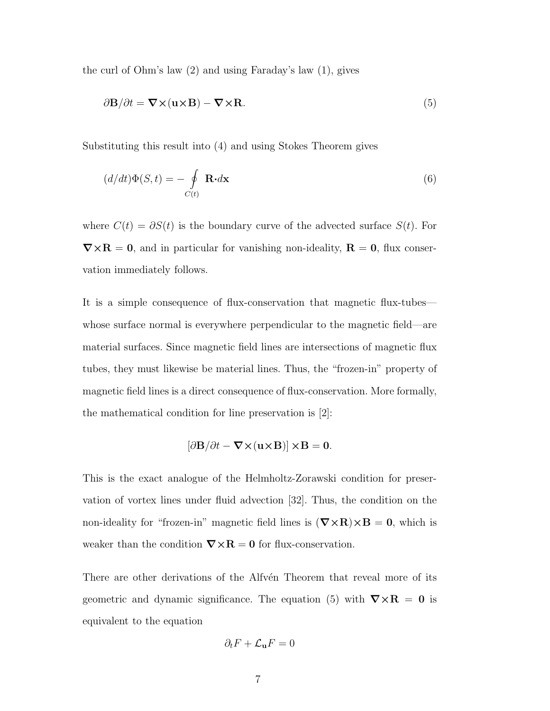the curl of Ohm's law (2) and using Faraday's law (1), gives

$$
\partial \mathbf{B}/\partial t = \mathbf{\nabla} \times (\mathbf{u} \times \mathbf{B}) - \mathbf{\nabla} \times \mathbf{R}.
$$
 (5)

Substituting this result into (4) and using Stokes Theorem gives

$$
(d/dt)\Phi(S,t) = -\oint\limits_{C(t)} \mathbf{R} \cdot d\mathbf{x}
$$
 (6)

where  $C(t) = \partial S(t)$  is the boundary curve of the advected surface  $S(t)$ . For  $\nabla \times \mathbf{R} = \mathbf{0}$ , and in particular for vanishing non-ideality,  $\mathbf{R} = \mathbf{0}$ , flux conservation immediately follows.

It is a simple consequence of flux-conservation that magnetic flux-tubes whose surface normal is everywhere perpendicular to the magnetic field—are material surfaces. Since magnetic field lines are intersections of magnetic flux tubes, they must likewise be material lines. Thus, the "frozen-in" property of magnetic field lines is a direct consequence of flux-conservation. More formally, the mathematical condition for line preservation is [2]:

$$
\left[\partial \mathbf{B}/\partial t-\boldsymbol{\nabla}\times(\mathbf{u}{\times}\mathbf{B})\right]{\times}\mathbf{B}=\mathbf{0}.
$$

This is the exact analogue of the Helmholtz-Zorawski condition for preservation of vortex lines under fluid advection [32]. Thus, the condition on the non-ideality for "frozen-in" magnetic field lines is  $(\nabla \times \mathbf{R}) \times \mathbf{B} = 0$ , which is weaker than the condition  $\nabla \times \mathbf{R} = \mathbf{0}$  for flux-conservation.

There are other derivations of the Alfvén Theorem that reveal more of its geometric and dynamic significance. The equation (5) with  $\nabla \times \mathbf{R} = \mathbf{0}$  is equivalent to the equation

$$
\partial_t F + \mathcal{L}_\mathbf{u} F = 0
$$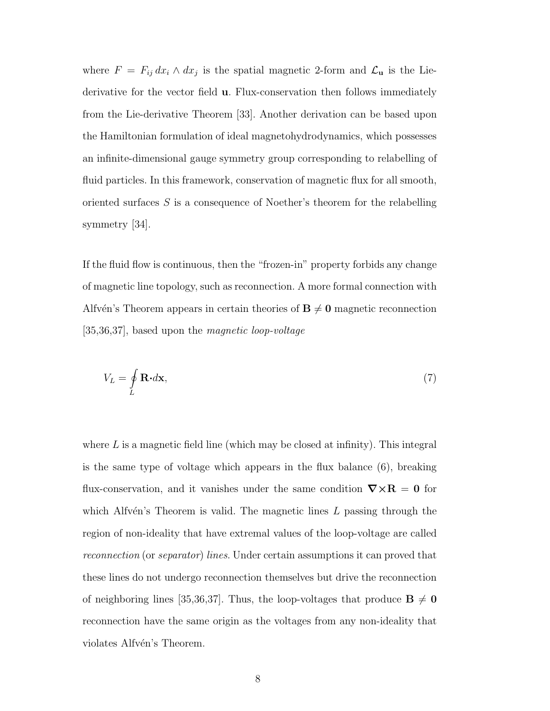where  $F = F_{ij} dx_i \wedge dx_j$  is the spatial magnetic 2-form and  $\mathcal{L}_{\mathbf{u}}$  is the Liederivative for the vector field u. Flux-conservation then follows immediately from the Lie-derivative Theorem [33]. Another derivation can be based upon the Hamiltonian formulation of ideal magnetohydrodynamics, which possesses an infinite-dimensional gauge symmetry group corresponding to relabelling of fluid particles. In this framework, conservation of magnetic flux for all smooth, oriented surfaces S is a consequence of Noether's theorem for the relabelling symmetry [34].

If the fluid flow is continuous, then the "frozen-in" property forbids any change of magnetic line topology, such as reconnection. A more formal connection with Alfv $\acute{e}$ n's Theorem appears in certain theories of  $B \neq 0$  magnetic reconnection [35,36,37], based upon the magnetic loop-voltage

$$
V_L = \oint_L \mathbf{R} \cdot d\mathbf{x},\tag{7}
$$

where  $L$  is a magnetic field line (which may be closed at infinity). This integral is the same type of voltage which appears in the flux balance (6), breaking flux-conservation, and it vanishes under the same condition  $\nabla \times \mathbf{R} = \mathbf{0}$  for which Alfvén's Theorem is valid. The magnetic lines  $L$  passing through the region of non-ideality that have extremal values of the loop-voltage are called reconnection (or separator) lines. Under certain assumptions it can proved that these lines do not undergo reconnection themselves but drive the reconnection of neighboring lines [35,36,37]. Thus, the loop-voltages that produce  $\mathbf{B} \neq \mathbf{0}$ reconnection have the same origin as the voltages from any non-ideality that violates Alfvén's Theorem.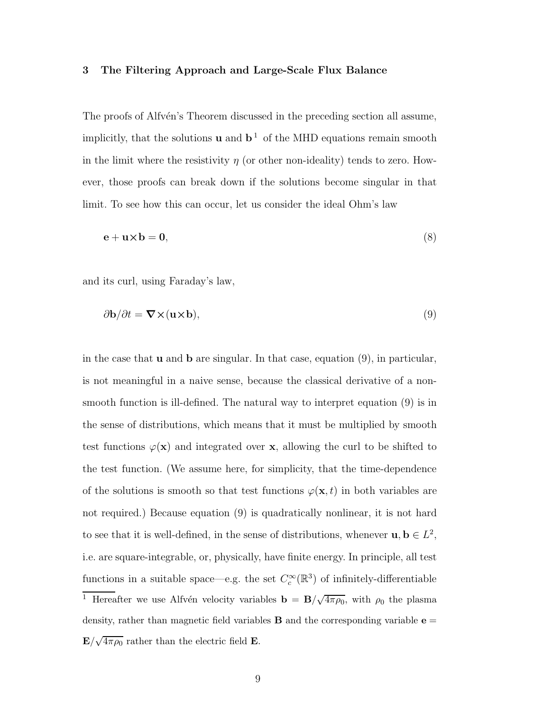#### 3 The Filtering Approach and Large-Scale Flux Balance

The proofs of Alfvén's Theorem discussed in the preceding section all assume, implicitly, that the solutions **u** and  $\mathbf{b}^1$  of the MHD equations remain smooth in the limit where the resistivity  $\eta$  (or other non-ideality) tends to zero. However, those proofs can break down if the solutions become singular in that limit. To see how this can occur, let us consider the ideal Ohm's law

$$
\mathbf{e} + \mathbf{u} \times \mathbf{b} = \mathbf{0},\tag{8}
$$

and its curl, using Faraday's law,

$$
\partial \mathbf{b}/\partial t = \mathbf{\nabla} \times (\mathbf{u} \times \mathbf{b}),\tag{9}
$$

in the case that  $\bf{u}$  and  $\bf{b}$  are singular. In that case, equation (9), in particular, is not meaningful in a naive sense, because the classical derivative of a nonsmooth function is ill-defined. The natural way to interpret equation (9) is in the sense of distributions, which means that it must be multiplied by smooth test functions  $\varphi(\mathbf{x})$  and integrated over x, allowing the curl to be shifted to the test function. (We assume here, for simplicity, that the time-dependence of the solutions is smooth so that test functions  $\varphi(\mathbf{x}, t)$  in both variables are not required.) Because equation (9) is quadratically nonlinear, it is not hard to see that it is well-defined, in the sense of distributions, whenever  $\mathbf{u}, \mathbf{b} \in L^2$ , i.e. are square-integrable, or, physically, have finite energy. In principle, all test functions in a suitable space—e.g. the set  $C_c^{\infty}(\mathbb{R}^3)$  of infinitely-differentiable <sup>1</sup> Hereafter we use Alfvén velocity variables  $\mathbf{b} = \mathbf{B}/\sqrt{4\pi\rho_0}$ , with  $\rho_0$  the plasma density, rather than magnetic field variables **B** and the corresponding variable  $e =$  $\mathbf{E}/\sqrt{4\pi\rho_0}$  rather than the electric field **E**.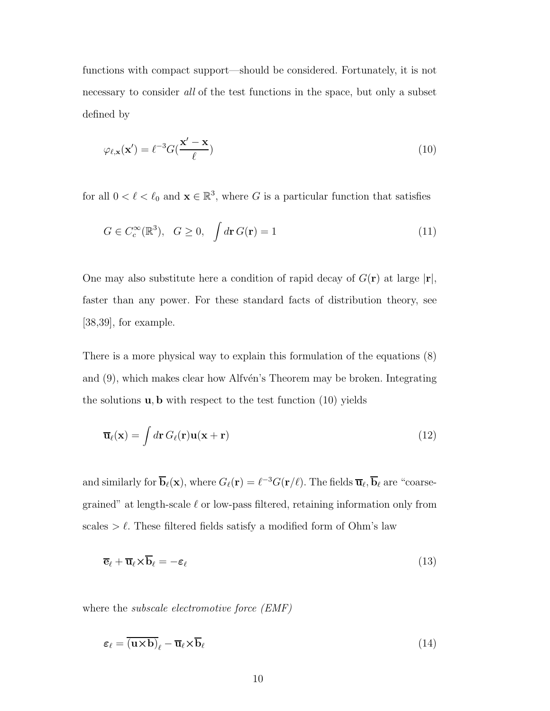functions with compact support—should be considered. Fortunately, it is not necessary to consider all of the test functions in the space, but only a subset defined by

$$
\varphi_{\ell, \mathbf{x}}(\mathbf{x}') = \ell^{-3} G(\frac{\mathbf{x}' - \mathbf{x}}{\ell})
$$
\n(10)

for all  $0 < \ell < \ell_0$  and  $\mathbf{x} \in \mathbb{R}^3$ , where G is a particular function that satisfies

$$
G \in C_c^{\infty}(\mathbb{R}^3), \quad G \ge 0, \quad \int d\mathbf{r} \, G(\mathbf{r}) = 1 \tag{11}
$$

One may also substitute here a condition of rapid decay of  $G(\mathbf{r})$  at large  $|\mathbf{r}|$ , faster than any power. For these standard facts of distribution theory, see [38,39], for example.

There is a more physical way to explain this formulation of the equations (8) and  $(9)$ , which makes clear how Alfvén's Theorem may be broken. Integrating the solutions  $\mathbf{u}, \mathbf{b}$  with respect to the test function (10) yields

$$
\overline{\mathbf{u}}_{\ell}(\mathbf{x}) = \int d\mathbf{r} \, G_{\ell}(\mathbf{r}) \mathbf{u}(\mathbf{x} + \mathbf{r}) \tag{12}
$$

and similarly for  $\overline{\mathbf{b}}_{\ell}(\mathbf{x})$ , where  $G_{\ell}(\mathbf{r}) = \ell^{-3} G(\mathbf{r}/\ell)$ . The fields  $\overline{\mathbf{u}}_{\ell}, \overline{\mathbf{b}}_{\ell}$  are "coarsegrained" at length-scale  $\ell$  or low-pass filtered, retaining information only from scales  $\geq \ell$ . These filtered fields satisfy a modified form of Ohm's law

$$
\overline{\mathbf{e}}_{\ell} + \overline{\mathbf{u}}_{\ell} \times \overline{\mathbf{b}}_{\ell} = -\varepsilon_{\ell} \tag{13}
$$

where the *subscale electromotive force* (*EMF*)

$$
\varepsilon_{\ell} = \overline{(\mathbf{u} \times \mathbf{b})}_{\ell} - \overline{\mathbf{u}}_{\ell} \times \overline{\mathbf{b}}_{\ell}
$$
 (14)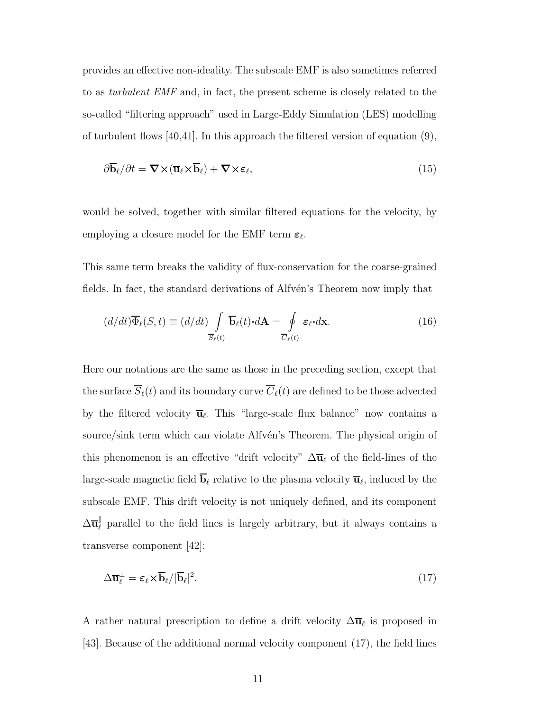provides an effective non-ideality. The subscale EMF is also sometimes referred to as turbulent EMF and, in fact, the present scheme is closely related to the so-called "filtering approach" used in Large-Eddy Simulation (LES) modelling of turbulent flows [40,41]. In this approach the filtered version of equation (9),

$$
\partial \overline{\mathbf{b}}_{\ell} / \partial t = \nabla \times (\overline{\mathbf{u}}_{\ell} \times \overline{\mathbf{b}}_{\ell}) + \nabla \times \varepsilon_{\ell},\tag{15}
$$

would be solved, together with similar filtered equations for the velocity, by employing a closure model for the EMF term  $\varepsilon_{\ell}$ .

This same term breaks the validity of flux-conservation for the coarse-grained fields. In fact, the standard derivations of Alfvén's Theorem now imply that

$$
(d/dt)\overline{\Phi}_{\ell}(S,t) \equiv (d/dt) \int_{\overline{S}_{\ell}(t)} \overline{\mathbf{b}}_{\ell}(t) \cdot d\mathbf{A} = \oint_{\overline{C}_{\ell}(t)} \varepsilon_{\ell} \cdot d\mathbf{x}.
$$
 (16)

Here our notations are the same as those in the preceding section, except that the surface  $\overline{S}_{\ell}(t)$  and its boundary curve  $\overline{C}_{\ell}(t)$  are defined to be those advected by the filtered velocity  $\overline{\mathbf{u}}_{\ell}$ . This "large-scale flux balance" now contains a source/sink term which can violate Alfven's Theorem. The physical origin of this phenomenon is an effective "drift velocity"  $\Delta \overline{u}_\ell$  of the field-lines of the large-scale magnetic field  $\mathbf{b}_{\ell}$  relative to the plasma velocity  $\overline{\mathbf{u}}_{\ell}$ , induced by the subscale EMF. This drift velocity is not uniquely defined, and its component  $\Delta \overline{\mathbf{u}}_{\ell}^{\parallel}$  parallel to the field lines is largely arbitrary, but it always contains a transverse component [42]:

$$
\Delta \overline{\mathbf{u}}_{\ell}^{\perp} = \varepsilon_{\ell} \times \overline{\mathbf{b}}_{\ell} / |\overline{\mathbf{b}}_{\ell}|^2. \tag{17}
$$

A rather natural prescription to define a drift velocity  $\Delta \overline{u}_{\ell}$  is proposed in [43]. Because of the additional normal velocity component (17), the field lines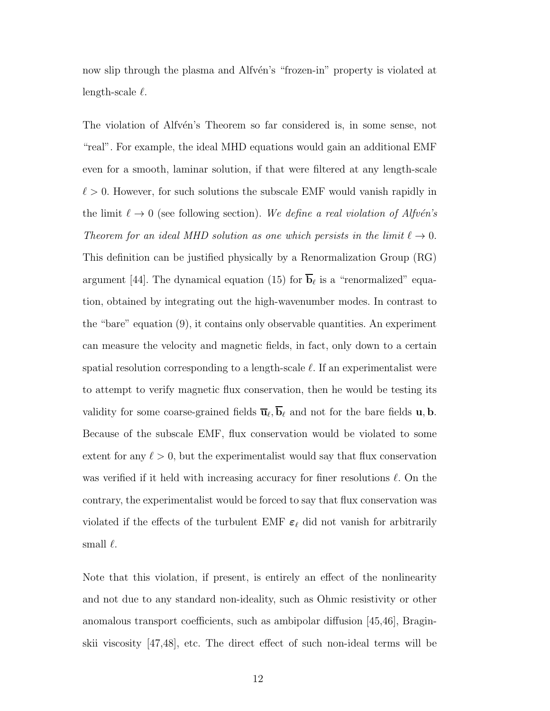now slip through the plasma and Alfvén's "frozen-in" property is violated at length-scale  $\ell$ .

The violation of Alfvén's Theorem so far considered is, in some sense, not "real". For example, the ideal MHD equations would gain an additional EMF even for a smooth, laminar solution, if that were filtered at any length-scale  $\ell > 0$ . However, for such solutions the subscale EMF would vanish rapidly in the limit  $\ell \to 0$  (see following section). We define a real violation of Alfvén's Theorem for an ideal MHD solution as one which persists in the limit  $\ell \to 0$ . This definition can be justified physically by a Renormalization Group (RG) argument [44]. The dynamical equation (15) for  $\overline{\mathbf{b}}_{\ell}$  is a "renormalized" equation, obtained by integrating out the high-wavenumber modes. In contrast to the "bare" equation (9), it contains only observable quantities. An experiment can measure the velocity and magnetic fields, in fact, only down to a certain spatial resolution corresponding to a length-scale  $\ell$ . If an experimentalist were to attempt to verify magnetic flux conservation, then he would be testing its validity for some coarse-grained fields  $\overline{\mathbf{u}}_{\ell}, \overline{\mathbf{b}}_{\ell}$  and not for the bare fields **u**, **b**. Because of the subscale EMF, flux conservation would be violated to some extent for any  $\ell > 0$ , but the experimentalist would say that flux conservation was verified if it held with increasing accuracy for finer resolutions  $\ell$ . On the contrary, the experimentalist would be forced to say that flux conservation was violated if the effects of the turbulent EMF  $\varepsilon_{\ell}$  did not vanish for arbitrarily small  $\ell$ .

Note that this violation, if present, is entirely an effect of the nonlinearity and not due to any standard non-ideality, such as Ohmic resistivity or other anomalous transport coefficients, such as ambipolar diffusion [45,46], Braginskii viscosity [47,48], etc. The direct effect of such non-ideal terms will be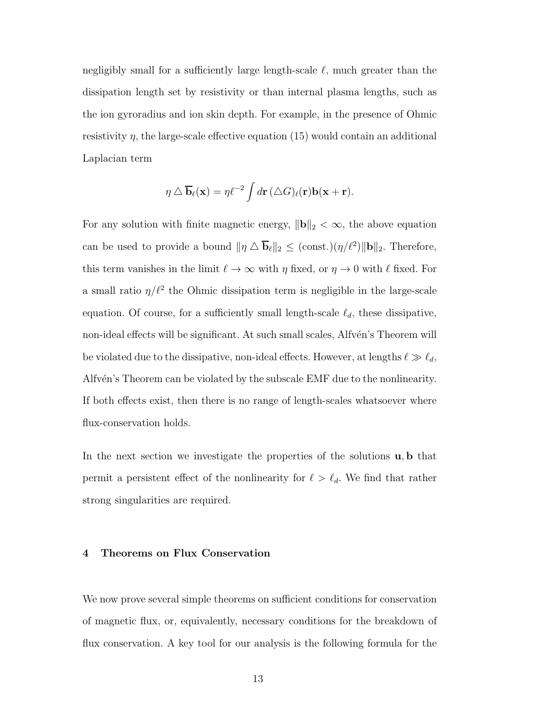negligibly small for a sufficiently large length-scale  $\ell$ , much greater than the dissipation length set by resistivity or than internal plasma lengths, such as the ion gyroradius and ion skin depth. For example, in the presence of Ohmic resistivity  $\eta$ , the large-scale effective equation (15) would contain an additional Laplacian term

$$
\eta \triangle \overline{\mathbf{b}}_{\ell}(\mathbf{x}) = \eta \ell^{-2} \int d\mathbf{r} \, (\triangle G)_{\ell}(\mathbf{r}) \mathbf{b}(\mathbf{x} + \mathbf{r}).
$$

For any solution with finite magnetic energy,  $\|\mathbf{b}\|_2 < \infty$ , the above equation can be used to provide a bound  $\|\eta \Delta \overline{\mathbf{b}}_{\ell}\|_2 \leq (\text{const.})(\eta/\ell^2) \|\mathbf{b}\|_2$ . Therefore, this term vanishes in the limit  $\ell \to \infty$  with  $\eta$  fixed, or  $\eta \to 0$  with  $\ell$  fixed. For a small ratio  $\eta/\ell^2$  the Ohmic dissipation term is negligible in the large-scale equation. Of course, for a sufficiently small length-scale  $\ell_d$ , these dissipative, non-ideal effects will be significant. At such small scales, Alfvén's Theorem will be violated due to the dissipative, non-ideal effects. However, at lengths  $\ell \gg \ell_d$ , Alfv $\acute{e}$ n's Theorem can be violated by the subscale EMF due to the nonlinearity. If both effects exist, then there is no range of length-scales whatsoever where flux-conservation holds.

In the next section we investigate the properties of the solutions u, b that permit a persistent effect of the nonlinearity for  $\ell > \ell_d$ . We find that rather strong singularities are required.

#### 4 Theorems on Flux Conservation

We now prove several simple theorems on sufficient conditions for conservation of magnetic flux, or, equivalently, necessary conditions for the breakdown of flux conservation. A key tool for our analysis is the following formula for the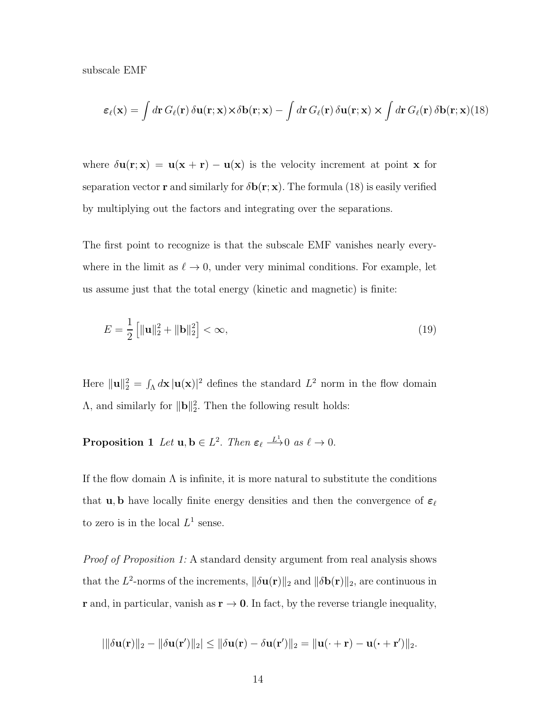subscale EMF

$$
\varepsilon_{\ell}(\mathbf{x}) = \int d\mathbf{r} \, G_{\ell}(\mathbf{r}) \, \delta \mathbf{u}(\mathbf{r}; \mathbf{x}) \times \delta \mathbf{b}(\mathbf{r}; \mathbf{x}) - \int d\mathbf{r} \, G_{\ell}(\mathbf{r}) \, \delta \mathbf{u}(\mathbf{r}; \mathbf{x}) \times \int d\mathbf{r} \, G_{\ell}(\mathbf{r}) \, \delta \mathbf{b}(\mathbf{r}; \mathbf{x}) (18)
$$

where  $\delta \mathbf{u}(\mathbf{r}; \mathbf{x}) = \mathbf{u}(\mathbf{x} + \mathbf{r}) - \mathbf{u}(\mathbf{x})$  is the velocity increment at point **x** for separation vector **r** and similarly for  $\delta$ **b**(**r**; **x**). The formula (18) is easily verified by multiplying out the factors and integrating over the separations.

The first point to recognize is that the subscale EMF vanishes nearly everywhere in the limit as  $\ell \to 0$ , under very minimal conditions. For example, let us assume just that the total energy (kinetic and magnetic) is finite:

$$
E = \frac{1}{2} \left[ \|\mathbf{u}\|_{2}^{2} + \|\mathbf{b}\|_{2}^{2} \right] < \infty,\tag{19}
$$

Here  $\|\mathbf{u}\|_2^2 = \int_{\Lambda} d\mathbf{x} \, |\mathbf{u}(\mathbf{x})|^2$  defines the standard  $L^2$  norm in the flow domain  $\Lambda$ , and similarly for  $\|\mathbf{b}\|_2^2$ . Then the following result holds:

**Proposition 1** Let  $u, b \in L^2$ . Then  $\varepsilon_{\ell} \stackrel{L_1}{\longrightarrow} 0$  as  $\ell \to 0$ .

If the flow domain  $\Lambda$  is infinite, it is more natural to substitute the conditions that **u**, **b** have locally finite energy densities and then the convergence of  $\varepsilon_\ell$ to zero is in the local  $L^1$  sense.

Proof of Proposition 1: A standard density argument from real analysis shows that the  $L^2$ -norms of the increments,  $\|\delta\mathbf{u}(\mathbf{r})\|_2$  and  $\|\delta\mathbf{b}(\mathbf{r})\|_2$ , are continuous in r and, in particular, vanish as  $r \to 0$ . In fact, by the reverse triangle inequality,

$$
\left|\|\delta\mathbf{u}(\mathbf{r})\|_2-\|\delta\mathbf{u}(\mathbf{r}')\|_2\right|\leq \|\delta\mathbf{u}(\mathbf{r})-\delta\mathbf{u}(\mathbf{r}')\|_2=\|\mathbf{u}(\cdot+\mathbf{r})-\mathbf{u}(\cdot+\mathbf{r}')\|_2.
$$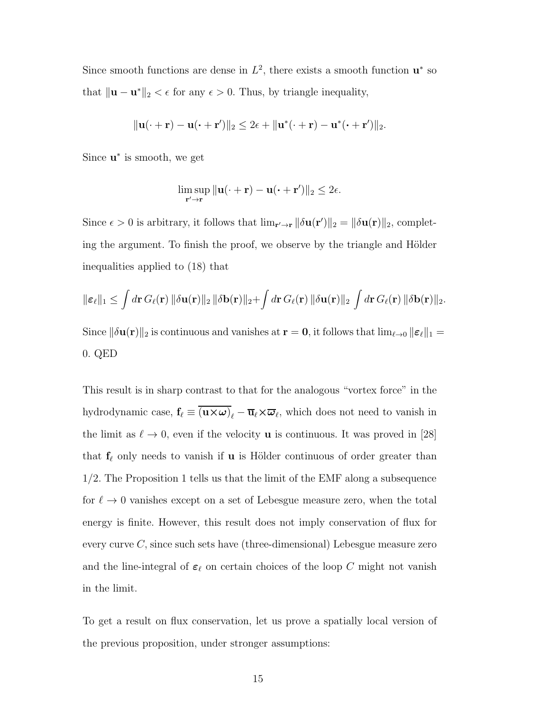Since smooth functions are dense in  $L^2$ , there exists a smooth function  $\mathbf{u}^*$  so that  $\|\mathbf{u} - \mathbf{u}^*\|_2 < \epsilon$  for any  $\epsilon > 0$ . Thus, by triangle inequality,

$$
\|\mathbf{u}(\cdot+\mathbf{r})-\mathbf{u}(\cdot+\mathbf{r}')\|_2 \leq 2\epsilon + \|\mathbf{u}^*(\cdot+\mathbf{r})-\mathbf{u}^*(\cdot+\mathbf{r}')\|_2.
$$

Since  $\mathbf{u}^*$  is smooth, we get

$$
\limsup_{\mathbf{r}'\to\mathbf{r}}\|\mathbf{u}(\cdot+\mathbf{r})-\mathbf{u}(\cdot+\mathbf{r}')\|_2\leq 2\epsilon.
$$

Since  $\epsilon > 0$  is arbitrary, it follows that  $\lim_{\mathbf{r}' \to \mathbf{r}} ||\delta \mathbf{u}(\mathbf{r}')||_2 = ||\delta \mathbf{u}(\mathbf{r})||_2$ , completing the argument. To finish the proof, we observe by the triangle and Hölder inequalities applied to (18) that

$$
\|\boldsymbol{\varepsilon}_{\ell}\|_1 \leq \int d\mathbf{r} \, G_{\ell}(\mathbf{r}) \, \|\delta \mathbf{u}(\mathbf{r})\|_2 \, \|\delta \mathbf{b}(\mathbf{r})\|_2 + \int d\mathbf{r} \, G_{\ell}(\mathbf{r}) \, \|\delta \mathbf{u}(\mathbf{r})\|_2 \, \int d\mathbf{r} \, G_{\ell}(\mathbf{r}) \, \|\delta \mathbf{b}(\mathbf{r})\|_2.
$$

Since  $\|\delta\mathbf{u}(\mathbf{r})\|_2$  is continuous and vanishes at  $\mathbf{r} = \mathbf{0}$ , it follows that  $\lim_{\ell \to 0} \|\boldsymbol{\varepsilon}_{\ell}\|_1 =$ 0. QED

This result is in sharp contrast to that for the analogous "vortex force" in the hydrodynamic case,  $f_\ell \equiv \overline{(u \times \omega)}_\ell - \overline{u}_\ell \times \overline{\omega}_\ell$ , which does not need to vanish in the limit as  $\ell \to 0$ , even if the velocity **u** is continuous. It was proved in [28] that  $f_{\ell}$  only needs to vanish if **u** is Hölder continuous of order greater than 1/2. The Proposition 1 tells us that the limit of the EMF along a subsequence for  $\ell \to 0$  vanishes except on a set of Lebesgue measure zero, when the total energy is finite. However, this result does not imply conservation of flux for every curve  $C$ , since such sets have (three-dimensional) Lebesgue measure zero and the line-integral of  $\varepsilon_\ell$  on certain choices of the loop C might not vanish in the limit.

To get a result on flux conservation, let us prove a spatially local version of the previous proposition, under stronger assumptions: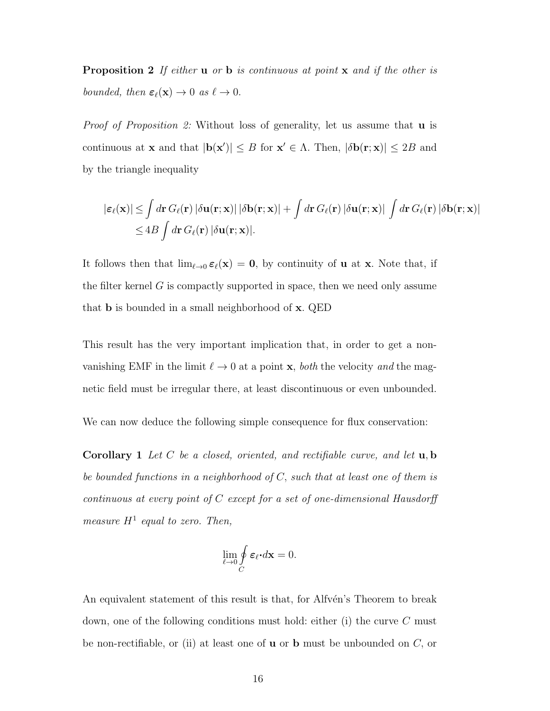**Proposition 2** If either **u** or **b** is continuous at point **x** and if the other is bounded, then  $\varepsilon_{\ell}(\mathbf{x}) \to 0$  as  $\ell \to 0$ .

Proof of Proposition 2: Without loss of generality, let us assume that **u** is continuous at **x** and that  $|\mathbf{b}(\mathbf{x}')| \leq B$  for  $\mathbf{x}' \in \Lambda$ . Then,  $|\delta \mathbf{b}(\mathbf{r}; \mathbf{x})| \leq 2B$  and by the triangle inequality

$$
\begin{aligned} |\varepsilon_{\ell}(\mathbf{x})| &\leq \int d\mathbf{r} \, G_{\ell}(\mathbf{r}) \, |\delta \mathbf{u}(\mathbf{r};\mathbf{x})| \, |\delta \mathbf{b}(\mathbf{r};\mathbf{x})| + \int d\mathbf{r} \, G_{\ell}(\mathbf{r}) \, |\delta \mathbf{u}(\mathbf{r};\mathbf{x})| \, \int d\mathbf{r} \, G_{\ell}(\mathbf{r}) \, |\delta \mathbf{b}(\mathbf{r};\mathbf{x})| \\ &\leq 4B \int d\mathbf{r} \, G_{\ell}(\mathbf{r}) \, |\delta \mathbf{u}(\mathbf{r};\mathbf{x})|. \end{aligned}
$$

It follows then that  $\lim_{\ell \to 0} \epsilon_{\ell}(\mathbf{x}) = \mathbf{0}$ , by continuity of **u** at **x**. Note that, if the filter kernel  $G$  is compactly supported in space, then we need only assume that b is bounded in a small neighborhood of x. QED

This result has the very important implication that, in order to get a nonvanishing EMF in the limit  $\ell \to 0$  at a point **x**, both the velocity and the magnetic field must be irregular there, at least discontinuous or even unbounded.

We can now deduce the following simple consequence for flux conservation:

**Corollary 1** Let C be a closed, oriented, and rectifiable curve, and let  $u, b$ be bounded functions in a neighborhood of C, such that at least one of them is continuous at every point of C except for a set of one-dimensional Hausdorff measure  $H^1$  equal to zero. Then,

$$
\lim_{\ell \to 0} \oint_C \boldsymbol{\varepsilon}_{\ell} \cdot d\mathbf{x} = 0.
$$

An equivalent statement of this result is that, for Alfvén's Theorem to break down, one of the following conditions must hold: either (i) the curve C must be non-rectifiable, or (ii) at least one of  $\bf{u}$  or  $\bf{b}$  must be unbounded on  $C$ , or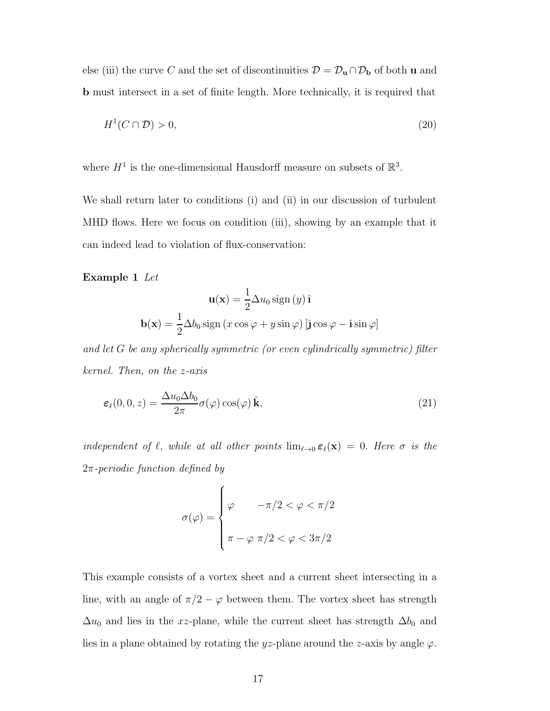else (iii) the curve C and the set of discontinuities  $\mathcal{D} = \mathcal{D}_\mathbf{u} \cap \mathcal{D}_\mathbf{b}$  of both **u** and b must intersect in a set of finite length. More technically, it is required that

$$
H^1(C \cap \mathcal{D}) > 0,\tag{20}
$$

where  $H^1$  is the one-dimensional Hausdorff measure on subsets of  $\mathbb{R}^3$ .

We shall return later to conditions (i) and (ii) in our discussion of turbulent MHD flows. Here we focus on condition (iii), showing by an example that it can indeed lead to violation of flux-conservation:

#### Example 1 Let

$$
\mathbf{u}(\mathbf{x}) = \frac{1}{2}\Delta u_0 \operatorname{sign}(y)\,\hat{\mathbf{i}}
$$

$$
\mathbf{b}(\mathbf{x}) = \frac{1}{2}\Delta b_0 \operatorname{sign}(x\cos\varphi + y\sin\varphi) [\hat{\mathbf{j}}\cos\varphi - \hat{\mathbf{i}}\sin\varphi]
$$

and let G be any spherically symmetric (or even cylindrically symmetric) filter kernel. Then, on the z-axis

$$
\boldsymbol{\varepsilon}_{\ell}(0,0,z) = \frac{\Delta u_0 \Delta b_0}{2\pi} \sigma(\varphi) \cos(\varphi) \hat{\mathbf{k}},\tag{21}
$$

independent of  $\ell$ , while at all other points  $\lim_{\ell \to 0} \varepsilon_{\ell}(\mathbf{x}) = 0$ . Here  $\sigma$  is the  $2\pi$ -periodic function defined by

$$
\sigma(\varphi) = \begin{cases} \varphi & -\pi/2 < \varphi < \pi/2 \\ \pi - \varphi & \pi/2 < \varphi < 3\pi/2 \end{cases}
$$

This example consists of a vortex sheet and a current sheet intersecting in a line, with an angle of  $\pi/2 - \varphi$  between them. The vortex sheet has strength  $\Delta u_0$  and lies in the xz-plane, while the current sheet has strength  $\Delta b_0$  and lies in a plane obtained by rotating the yz-plane around the z-axis by angle  $\varphi$ .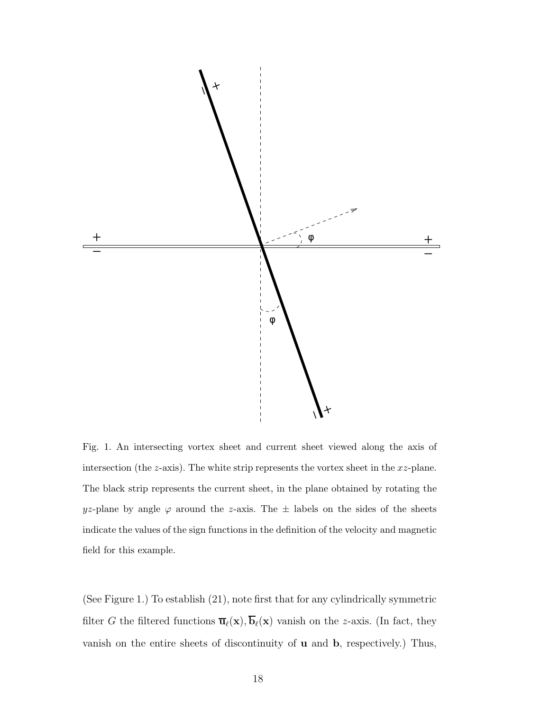

Fig. 1. An intersecting vortex sheet and current sheet viewed along the axis of intersection (the  $z$ -axis). The white strip represents the vortex sheet in the  $xz$ -plane. The black strip represents the current sheet, in the plane obtained by rotating the yz-plane by angle  $\varphi$  around the z-axis. The  $\pm$  labels on the sides of the sheets indicate the values of the sign functions in the definition of the velocity and magnetic field for this example.

(See Figure 1.) To establish (21), note first that for any cylindrically symmetric filter G the filtered functions  $\overline{\mathbf{u}}_{\ell}(\mathbf{x}), \overline{\mathbf{b}}_{\ell}(\mathbf{x})$  vanish on the z-axis. (In fact, they vanish on the entire sheets of discontinuity of u and b, respectively.) Thus,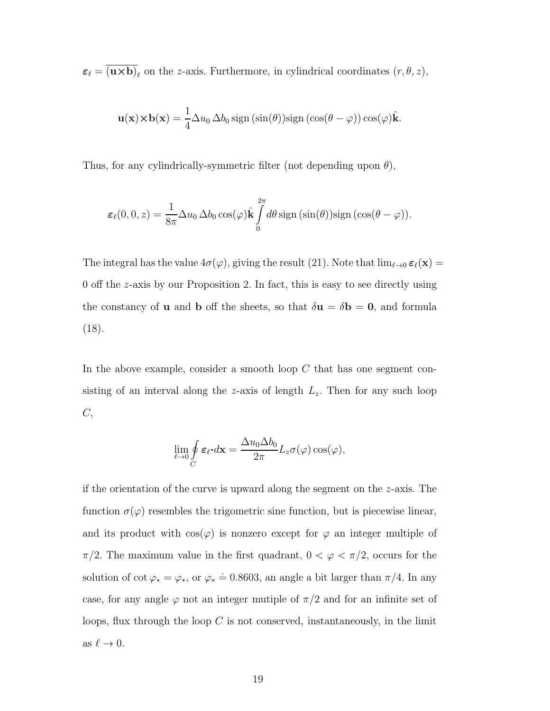$\varepsilon_{\ell} = \overline{(\mathbf{u} \times \mathbf{b})}_{\ell}$  on the *z*-axis. Furthermore, in cylindrical coordinates  $(r, \theta, z)$ ,

$$
\mathbf{u}(\mathbf{x}) \times \mathbf{b}(\mathbf{x}) = \frac{1}{4} \Delta u_0 \, \Delta b_0 \, \text{sign} \left( \sin(\theta) \right) \text{sign} \left( \cos(\theta - \varphi) \right) \cos(\varphi) \hat{\mathbf{k}}.
$$

Thus, for any cylindrically-symmetric filter (not depending upon  $\theta$ ),

$$
\varepsilon_{\ell}(0,0,z) = \frac{1}{8\pi} \Delta u_0 \, \Delta b_0 \cos(\varphi) \hat{\mathbf{k}} \int_{0}^{2\pi} d\theta \, \text{sign}(\sin(\theta)) \text{sign}(\cos(\theta - \varphi)).
$$

The integral has the value  $4\sigma(\varphi)$ , giving the result (21). Note that  $\lim_{\ell\to 0} \varepsilon_\ell(\mathbf{x}) =$ 0 off the z-axis by our Proposition 2. In fact, this is easy to see directly using the constancy of **u** and **b** off the sheets, so that  $\delta \mathbf{u} = \delta \mathbf{b} = \mathbf{0}$ , and formula (18).

In the above example, consider a smooth loop  $C$  that has one segment consisting of an interval along the z-axis of length  $L_z$ . Then for any such loop  $C,$ 

$$
\lim_{\ell \to 0} \oint\limits_C \boldsymbol{\varepsilon}_\ell \boldsymbol{\cdot} d\mathbf{x} = \frac{\Delta u_0 \Delta b_0}{2\pi} L_z \sigma(\varphi) \cos(\varphi),
$$

if the orientation of the curve is upward along the segment on the  $z$ -axis. The function  $\sigma(\varphi)$  resembles the trigometric sine function, but is piecewise linear, and its product with  $cos(\varphi)$  is nonzero except for  $\varphi$  an integer multiple of  $\pi/2$ . The maximum value in the first quadrant,  $0 < \varphi < \pi/2$ , occurs for the solution of  $\cot \varphi_* = \varphi_*,$  or  $\varphi_* \doteq 0.8603$ , an angle a bit larger than  $\pi/4$ . In any case, for any angle  $\varphi$  not an integer mutiple of  $\pi/2$  and for an infinite set of loops, flux through the loop  $C$  is not conserved, instantaneously, in the limit as  $\ell \to 0$ .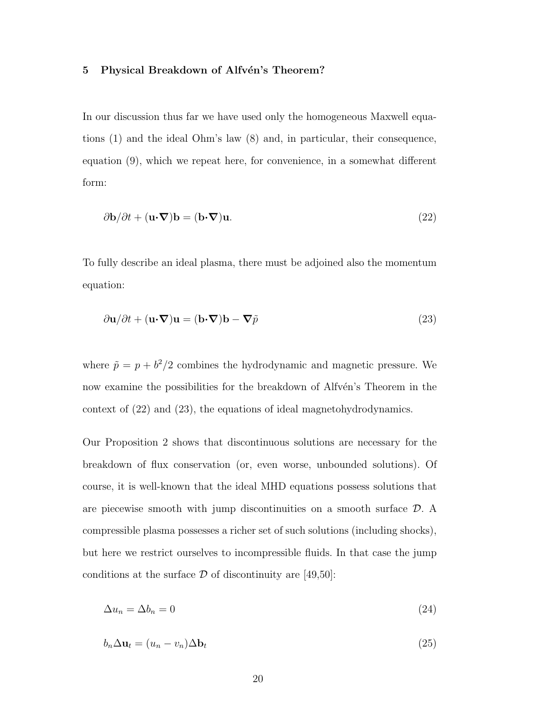### 5 Physical Breakdown of Alfvén's Theorem?

In our discussion thus far we have used only the homogeneous Maxwell equations (1) and the ideal Ohm's law (8) and, in particular, their consequence, equation (9), which we repeat here, for convenience, in a somewhat different form:

$$
\partial \mathbf{b}/\partial t + (\mathbf{u} \cdot \nabla)\mathbf{b} = (\mathbf{b} \cdot \nabla)\mathbf{u}.
$$
 (22)

To fully describe an ideal plasma, there must be adjoined also the momentum equation:

$$
\frac{\partial \mathbf{u}}{\partial t} + (\mathbf{u} \cdot \nabla) \mathbf{u} = (\mathbf{b} \cdot \nabla) \mathbf{b} - \nabla \tilde{p}
$$
\n(23)

where  $\tilde{p} = p + b^2/2$  combines the hydrodynamic and magnetic pressure. We now examine the possibilities for the breakdown of Alfvén's Theorem in the context of (22) and (23), the equations of ideal magnetohydrodynamics.

Our Proposition 2 shows that discontinuous solutions are necessary for the breakdown of flux conservation (or, even worse, unbounded solutions). Of course, it is well-known that the ideal MHD equations possess solutions that are piecewise smooth with jump discontinuities on a smooth surface  $\mathcal{D}$ . A compressible plasma possesses a richer set of such solutions (including shocks), but here we restrict ourselves to incompressible fluids. In that case the jump conditions at the surface  $\mathcal D$  of discontinuity are [49,50]:

$$
\Delta u_n = \Delta b_n = 0 \tag{24}
$$

$$
b_n \Delta \mathbf{u}_t = (u_n - v_n) \Delta \mathbf{b}_t \tag{25}
$$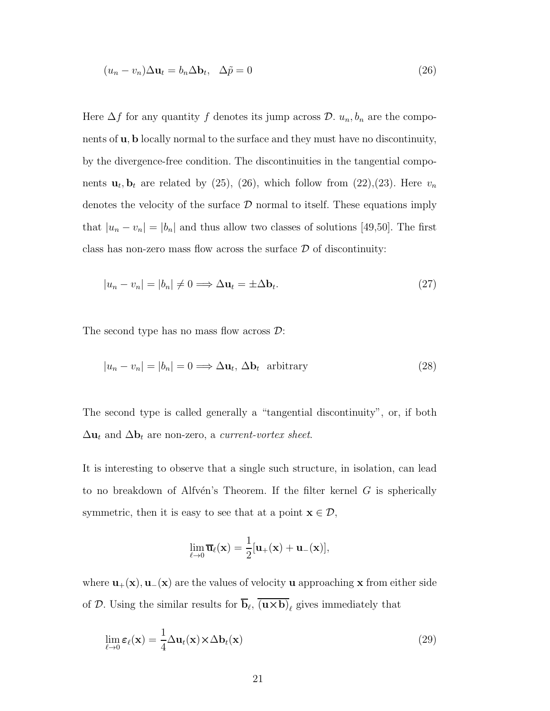$$
(u_n - v_n)\Delta \mathbf{u}_t = b_n \Delta \mathbf{b}_t, \quad \Delta \tilde{p} = 0 \tag{26}
$$

Here  $\Delta f$  for any quantity f denotes its jump across  $\mathcal{D}$ .  $u_n, b_n$  are the components of u, b locally normal to the surface and they must have no discontinuity, by the divergence-free condition. The discontinuities in the tangential components  $\mathbf{u}_t, \mathbf{b}_t$  are related by (25), (26), which follow from (22), (23). Here  $v_n$ denotes the velocity of the surface  $\mathcal D$  normal to itself. These equations imply that  $|u_n - v_n| = |b_n|$  and thus allow two classes of solutions [49,50]. The first class has non-zero mass flow across the surface  $\mathcal D$  of discontinuity:

$$
|u_n - v_n| = |b_n| \neq 0 \Longrightarrow \Delta \mathbf{u}_t = \pm \Delta \mathbf{b}_t. \tag{27}
$$

The second type has no mass flow across  $\mathcal{D}$ :

$$
|u_n - v_n| = |b_n| = 0 \Longrightarrow \Delta \mathbf{u}_t, \, \Delta \mathbf{b}_t \text{ arbitrary}
$$
\n<sup>(28)</sup>

The second type is called generally a "tangential discontinuity", or, if both  $\Delta \mathbf{u}_t$  and  $\Delta \mathbf{b}_t$  are non-zero, a current-vortex sheet.

It is interesting to observe that a single such structure, in isolation, can lead to no breakdown of Alfvén's Theorem. If the filter kernel  $G$  is spherically symmetric, then it is easy to see that at a point  $\mathbf{x} \in \mathcal{D}$ ,

$$
\lim_{\ell \to 0} \overline{\mathbf{u}}_{\ell}(\mathbf{x}) = \frac{1}{2} [\mathbf{u}_{+}(\mathbf{x}) + \mathbf{u}_{-}(\mathbf{x})],
$$

where  $\mathbf{u}_{+}(\mathbf{x}), \mathbf{u}_{-}(\mathbf{x})$  are the values of velocity u approaching x from either side of D. Using the similar results for  $\overline{b}_{\ell}$ ,  $\overline{(\mathbf{u} \times \mathbf{b})}_{\ell}$  gives immediately that

$$
\lim_{\ell \to 0} \varepsilon_{\ell}(\mathbf{x}) = \frac{1}{4} \Delta \mathbf{u}_t(\mathbf{x}) \times \Delta \mathbf{b}_t(\mathbf{x})
$$
\n(29)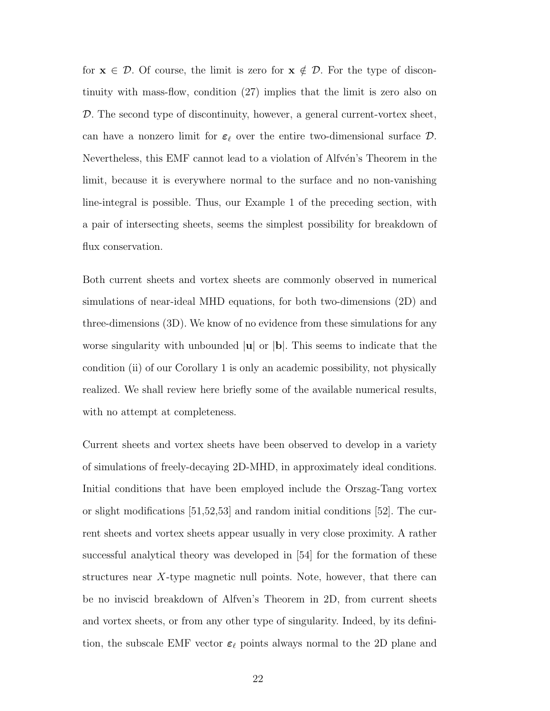for  $x \in \mathcal{D}$ . Of course, the limit is zero for  $x \notin \mathcal{D}$ . For the type of discontinuity with mass-flow, condition (27) implies that the limit is zero also on D. The second type of discontinuity, however, a general current-vortex sheet, can have a nonzero limit for  $\varepsilon_{\ell}$  over the entire two-dimensional surface  $\mathcal{D}$ . Nevertheless, this EMF cannot lead to a violation of Alfvén's Theorem in the limit, because it is everywhere normal to the surface and no non-vanishing line-integral is possible. Thus, our Example 1 of the preceding section, with a pair of intersecting sheets, seems the simplest possibility for breakdown of flux conservation.

Both current sheets and vortex sheets are commonly observed in numerical simulations of near-ideal MHD equations, for both two-dimensions (2D) and three-dimensions (3D). We know of no evidence from these simulations for any worse singularity with unbounded  $|\mathbf{u}|$  or  $|\mathbf{b}|$ . This seems to indicate that the condition (ii) of our Corollary 1 is only an academic possibility, not physically realized. We shall review here briefly some of the available numerical results, with no attempt at completeness.

Current sheets and vortex sheets have been observed to develop in a variety of simulations of freely-decaying 2D-MHD, in approximately ideal conditions. Initial conditions that have been employed include the Orszag-Tang vortex or slight modifications [51,52,53] and random initial conditions [52]. The current sheets and vortex sheets appear usually in very close proximity. A rather successful analytical theory was developed in [54] for the formation of these structures near  $X$ -type magnetic null points. Note, however, that there can be no inviscid breakdown of Alfven's Theorem in 2D, from current sheets and vortex sheets, or from any other type of singularity. Indeed, by its definition, the subscale EMF vector  $\varepsilon_\ell$  points always normal to the 2D plane and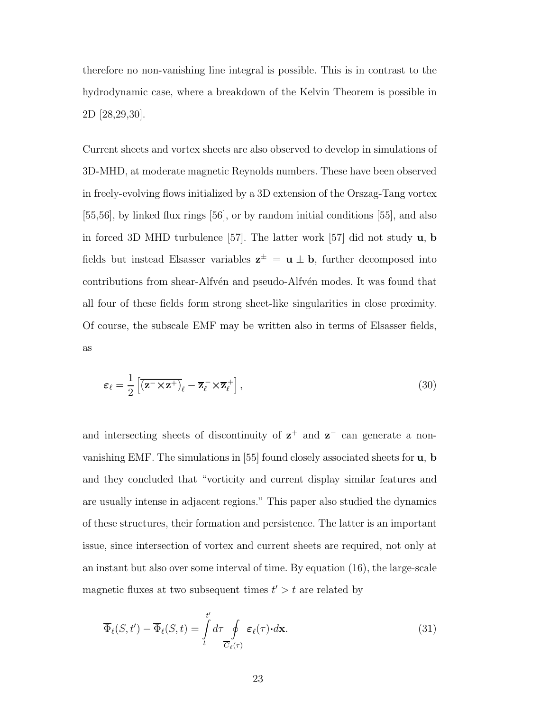therefore no non-vanishing line integral is possible. This is in contrast to the hydrodynamic case, where a breakdown of the Kelvin Theorem is possible in 2D [28,29,30].

Current sheets and vortex sheets are also observed to develop in simulations of 3D-MHD, at moderate magnetic Reynolds numbers. These have been observed in freely-evolving flows initialized by a 3D extension of the Orszag-Tang vortex  $[55,56]$ , by linked flux rings  $[56]$ , or by random initial conditions  $[55]$ , and also in forced 3D MHD turbulence [57]. The latter work [57] did not study  $\bf{u}$ , b fields but instead Elsasser variables  $z^{\pm} = u \pm b$ , further decomposed into contributions from shear-Alfvén and pseudo-Alfvén modes. It was found that all four of these fields form strong sheet-like singularities in close proximity. Of course, the subscale EMF may be written also in terms of Elsasser fields, as

$$
\varepsilon_{\ell} = \frac{1}{2} \left[ \overline{(\mathbf{z}^{-} \times \mathbf{z}^{+})}_{\ell} - \overline{\mathbf{z}}_{\ell}^{-} \times \overline{\mathbf{z}}_{\ell}^{+} \right],\tag{30}
$$

and intersecting sheets of discontinuity of  $z^+$  and  $z^-$  can generate a nonvanishing EMF. The simulations in [55] found closely associated sheets for u, b and they concluded that "vorticity and current display similar features and are usually intense in adjacent regions." This paper also studied the dynamics of these structures, their formation and persistence. The latter is an important issue, since intersection of vortex and current sheets are required, not only at an instant but also over some interval of time. By equation (16), the large-scale magnetic fluxes at two subsequent times  $t' > t$  are related by

$$
\overline{\Phi}_{\ell}(S, t') - \overline{\Phi}_{\ell}(S, t) = \int_{t}^{t'} d\tau \oint_{\overline{C}_{\ell}(\tau)} \varepsilon_{\ell}(\tau) \cdot d\mathbf{x}.
$$
\n(31)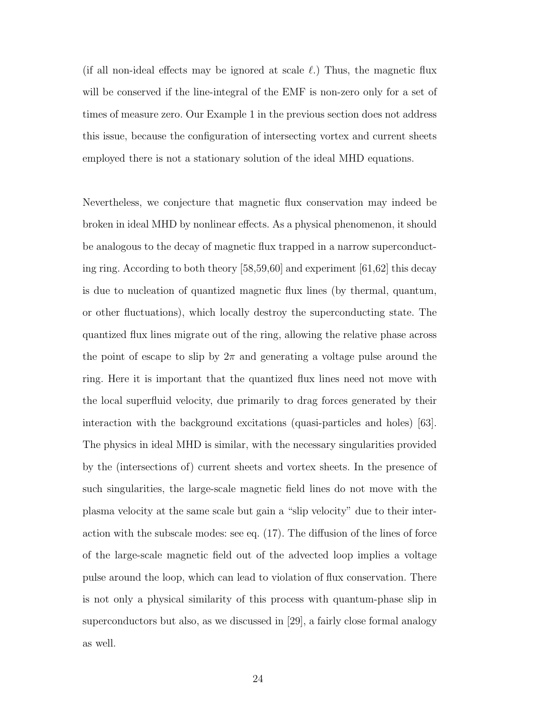(if all non-ideal effects may be ignored at scale  $\ell$ .) Thus, the magnetic flux will be conserved if the line-integral of the EMF is non-zero only for a set of times of measure zero. Our Example 1 in the previous section does not address this issue, because the configuration of intersecting vortex and current sheets employed there is not a stationary solution of the ideal MHD equations.

Nevertheless, we conjecture that magnetic flux conservation may indeed be broken in ideal MHD by nonlinear effects. As a physical phenomenon, it should be analogous to the decay of magnetic flux trapped in a narrow superconducting ring. According to both theory [58,59,60] and experiment [61,62] this decay is due to nucleation of quantized magnetic flux lines (by thermal, quantum, or other fluctuations), which locally destroy the superconducting state. The quantized flux lines migrate out of the ring, allowing the relative phase across the point of escape to slip by  $2\pi$  and generating a voltage pulse around the ring. Here it is important that the quantized flux lines need not move with the local superfluid velocity, due primarily to drag forces generated by their interaction with the background excitations (quasi-particles and holes) [63]. The physics in ideal MHD is similar, with the necessary singularities provided by the (intersections of) current sheets and vortex sheets. In the presence of such singularities, the large-scale magnetic field lines do not move with the plasma velocity at the same scale but gain a "slip velocity" due to their interaction with the subscale modes: see eq. (17). The diffusion of the lines of force of the large-scale magnetic field out of the advected loop implies a voltage pulse around the loop, which can lead to violation of flux conservation. There is not only a physical similarity of this process with quantum-phase slip in superconductors but also, as we discussed in [29], a fairly close formal analogy as well.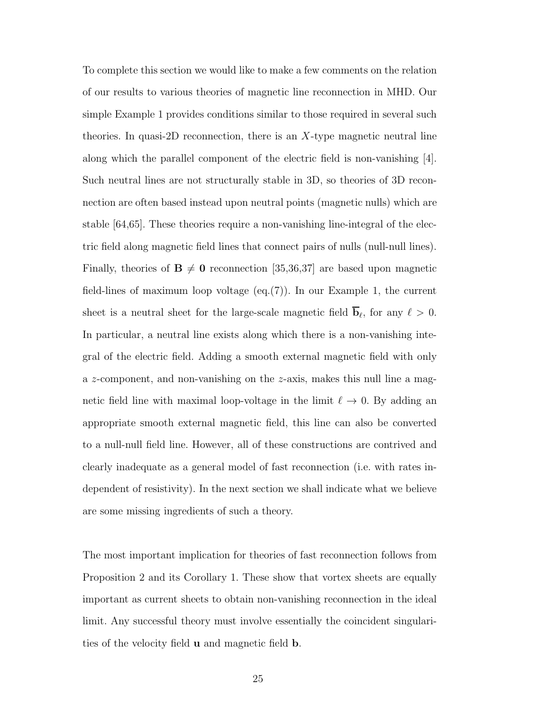To complete this section we would like to make a few comments on the relation of our results to various theories of magnetic line reconnection in MHD. Our simple Example 1 provides conditions similar to those required in several such theories. In quasi-2D reconnection, there is an  $X$ -type magnetic neutral line along which the parallel component of the electric field is non-vanishing [4]. Such neutral lines are not structurally stable in 3D, so theories of 3D reconnection are often based instead upon neutral points (magnetic nulls) which are stable [64,65]. These theories require a non-vanishing line-integral of the electric field along magnetic field lines that connect pairs of nulls (null-null lines). Finally, theories of  $\mathbf{B} \neq \mathbf{0}$  reconnection [35,36,37] are based upon magnetic field-lines of maximum loop voltage  $(eq.(7))$ . In our Example 1, the current sheet is a neutral sheet for the large-scale magnetic field  $\mathbf{b}_{\ell}$ , for any  $\ell > 0$ . In particular, a neutral line exists along which there is a non-vanishing integral of the electric field. Adding a smooth external magnetic field with only a  $z$ -component, and non-vanishing on the  $z$ -axis, makes this null line a magnetic field line with maximal loop-voltage in the limit  $\ell \to 0$ . By adding an appropriate smooth external magnetic field, this line can also be converted to a null-null field line. However, all of these constructions are contrived and clearly inadequate as a general model of fast reconnection (i.e. with rates independent of resistivity). In the next section we shall indicate what we believe are some missing ingredients of such a theory.

The most important implication for theories of fast reconnection follows from Proposition 2 and its Corollary 1. These show that vortex sheets are equally important as current sheets to obtain non-vanishing reconnection in the ideal limit. Any successful theory must involve essentially the coincident singularities of the velocity field u and magnetic field b.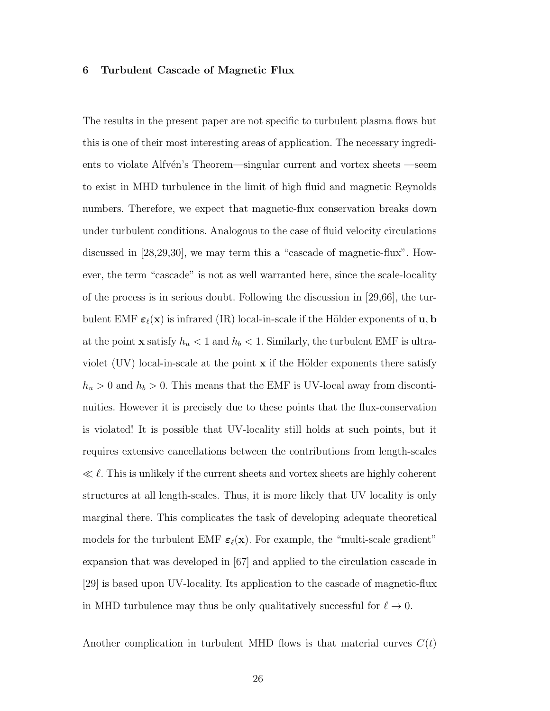#### 6 Turbulent Cascade of Magnetic Flux

The results in the present paper are not specific to turbulent plasma flows but this is one of their most interesting areas of application. The necessary ingredients to violate Alfvén's Theorem—singular current and vortex sheets —seem to exist in MHD turbulence in the limit of high fluid and magnetic Reynolds numbers. Therefore, we expect that magnetic-flux conservation breaks down under turbulent conditions. Analogous to the case of fluid velocity circulations discussed in [28,29,30], we may term this a "cascade of magnetic-flux". However, the term "cascade" is not as well warranted here, since the scale-locality of the process is in serious doubt. Following the discussion in [29,66], the turbulent EMF  $\varepsilon_{\ell}(\mathbf{x})$  is infrared (IR) local-in-scale if the Hölder exponents of  $\mathbf{u}, \mathbf{b}$ at the point **x** satisfy  $h_u < 1$  and  $h_b < 1$ . Similarly, the turbulent EMF is ultraviolet (UV) local-in-scale at the point  $x$  if the Hölder exponents there satisfy  $h_u > 0$  and  $h_b > 0$ . This means that the EMF is UV-local away from discontinuities. However it is precisely due to these points that the flux-conservation is violated! It is possible that UV-locality still holds at such points, but it requires extensive cancellations between the contributions from length-scales  $\ll l$ . This is unlikely if the current sheets and vortex sheets are highly coherent structures at all length-scales. Thus, it is more likely that UV locality is only marginal there. This complicates the task of developing adequate theoretical models for the turbulent EMF  $\varepsilon_{\ell}(\mathbf{x})$ . For example, the "multi-scale gradient" expansion that was developed in [67] and applied to the circulation cascade in [29] is based upon UV-locality. Its application to the cascade of magnetic-flux in MHD turbulence may thus be only qualitatively successful for  $\ell \to 0$ .

Another complication in turbulent MHD flows is that material curves  $C(t)$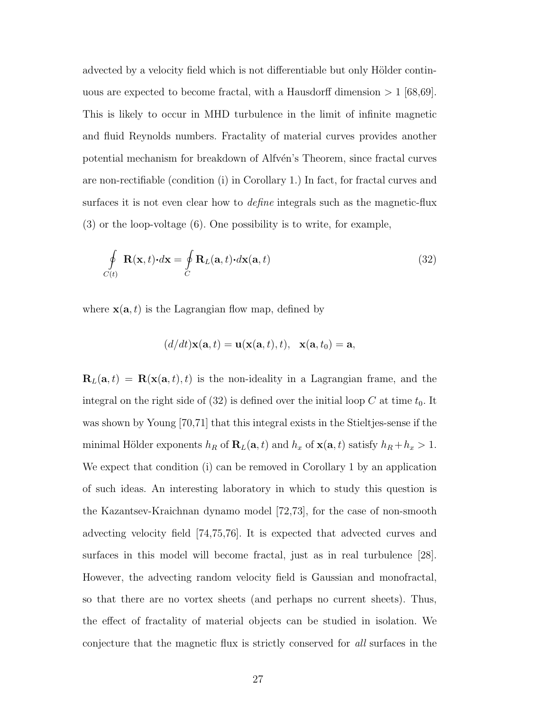advected by a velocity field which is not differentiable but only Hölder continuous are expected to become fractal, with a Hausdorff dimension  $>1$  [68,69]. This is likely to occur in MHD turbulence in the limit of infinite magnetic and fluid Reynolds numbers. Fractality of material curves provides another potential mechanism for breakdown of Alfvén's Theorem, since fractal curves are non-rectifiable (condition (i) in Corollary 1.) In fact, for fractal curves and surfaces it is not even clear how to *define* integrals such as the magnetic-flux (3) or the loop-voltage (6). One possibility is to write, for example,

$$
\oint_{C(t)} \mathbf{R}(\mathbf{x}, t) \cdot d\mathbf{x} = \oint_C \mathbf{R}_L(\mathbf{a}, t) \cdot d\mathbf{x}(\mathbf{a}, t)
$$
\n(32)

where  $\mathbf{x}(\mathbf{a}, t)$  is the Lagrangian flow map, defined by

$$
(d/dt)\mathbf{x}(\mathbf{a},t) = \mathbf{u}(\mathbf{x}(\mathbf{a},t),t), \ \mathbf{x}(\mathbf{a},t_0) = \mathbf{a},
$$

 $\mathbf{R}_L(\mathbf{a}, t) = \mathbf{R}(\mathbf{x}(\mathbf{a}, t), t)$  is the non-ideality in a Lagrangian frame, and the integral on the right side of  $(32)$  is defined over the initial loop C at time  $t_0$ . It was shown by Young [70,71] that this integral exists in the Stieltjes-sense if the minimal Hölder exponents  $h_R$  of  $\mathbf{R}_L(\mathbf{a}, t)$  and  $h_x$  of  $\mathbf{x}(\mathbf{a}, t)$  satisfy  $h_R + h_x > 1$ . We expect that condition (i) can be removed in Corollary 1 by an application of such ideas. An interesting laboratory in which to study this question is the Kazantsev-Kraichnan dynamo model [72,73], for the case of non-smooth advecting velocity field [74,75,76]. It is expected that advected curves and surfaces in this model will become fractal, just as in real turbulence [28]. However, the advecting random velocity field is Gaussian and monofractal, so that there are no vortex sheets (and perhaps no current sheets). Thus, the effect of fractality of material objects can be studied in isolation. We conjecture that the magnetic flux is strictly conserved for all surfaces in the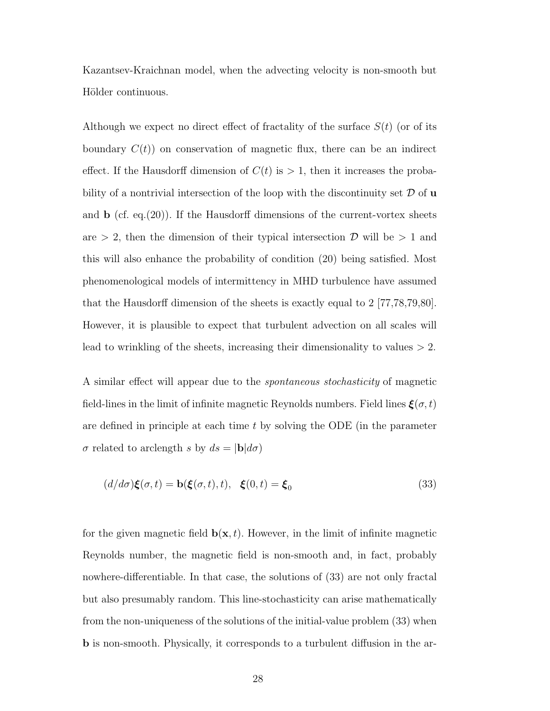Kazantsev-Kraichnan model, when the advecting velocity is non-smooth but Hölder continuous.

Although we expect no direct effect of fractality of the surface  $S(t)$  (or of its boundary  $C(t)$  on conservation of magnetic flux, there can be an indirect effect. If the Hausdorff dimension of  $C(t)$  is  $> 1$ , then it increases the probability of a nontrivial intersection of the loop with the discontinuity set  $\mathcal D$  of u and  $\bf{b}$  (cf. eq.(20)). If the Hausdorff dimensions of the current-vortex sheets are  $> 2$ , then the dimension of their typical intersection  $\mathcal{D}$  will be  $> 1$  and this will also enhance the probability of condition (20) being satisfied. Most phenomenological models of intermittency in MHD turbulence have assumed that the Hausdorff dimension of the sheets is exactly equal to 2 [77,78,79,80]. However, it is plausible to expect that turbulent advection on all scales will lead to wrinkling of the sheets, increasing their dimensionality to values  $> 2$ .

A similar effect will appear due to the spontaneous stochasticity of magnetic field-lines in the limit of infinite magnetic Reynolds numbers. Field lines  $\xi(\sigma, t)$ are defined in principle at each time  $t$  by solving the ODE (in the parameter  $\sigma$  related to arclength s by  $ds = |\mathbf{b}|d\sigma$ 

$$
(d/d\sigma)\xi(\sigma,t) = \mathbf{b}(\xi(\sigma,t),t), \quad \xi(0,t) = \xi_0 \tag{33}
$$

for the given magnetic field  $\mathbf{b}(\mathbf{x}, t)$ . However, in the limit of infinite magnetic Reynolds number, the magnetic field is non-smooth and, in fact, probably nowhere-differentiable. In that case, the solutions of (33) are not only fractal but also presumably random. This line-stochasticity can arise mathematically from the non-uniqueness of the solutions of the initial-value problem (33) when b is non-smooth. Physically, it corresponds to a turbulent diffusion in the ar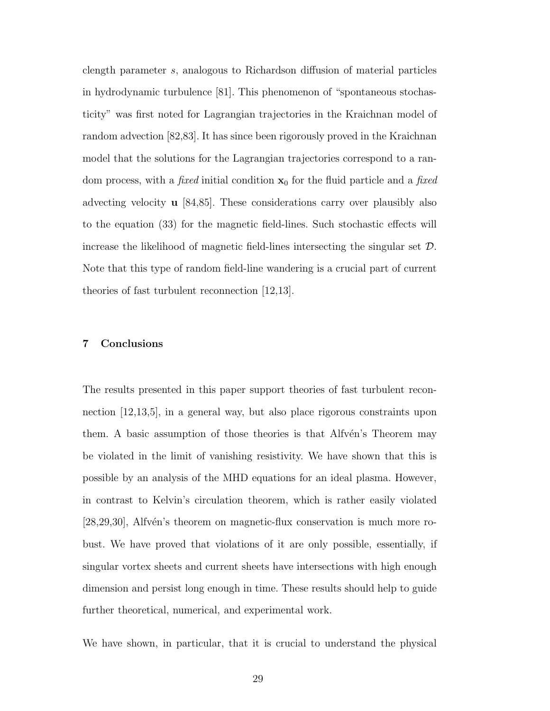clength parameter s, analogous to Richardson diffusion of material particles in hydrodynamic turbulence [81]. This phenomenon of "spontaneous stochasticity" was first noted for Lagrangian trajectories in the Kraichnan model of random advection [82,83]. It has since been rigorously proved in the Kraichnan model that the solutions for the Lagrangian trajectories correspond to a random process, with a *fixed* initial condition  $x_0$  for the fluid particle and a *fixed* advecting velocity u [84,85]. These considerations carry over plausibly also to the equation (33) for the magnetic field-lines. Such stochastic effects will increase the likelihood of magnetic field-lines intersecting the singular set D. Note that this type of random field-line wandering is a crucial part of current theories of fast turbulent reconnection [12,13].

#### 7 Conclusions

The results presented in this paper support theories of fast turbulent reconnection [12,13,5], in a general way, but also place rigorous constraints upon them. A basic assumption of those theories is that Alfven's Theorem may be violated in the limit of vanishing resistivity. We have shown that this is possible by an analysis of the MHD equations for an ideal plasma. However, in contrast to Kelvin's circulation theorem, which is rather easily violated  $[28,29,30]$ , Alfvén's theorem on magnetic-flux conservation is much more robust. We have proved that violations of it are only possible, essentially, if singular vortex sheets and current sheets have intersections with high enough dimension and persist long enough in time. These results should help to guide further theoretical, numerical, and experimental work.

We have shown, in particular, that it is crucial to understand the physical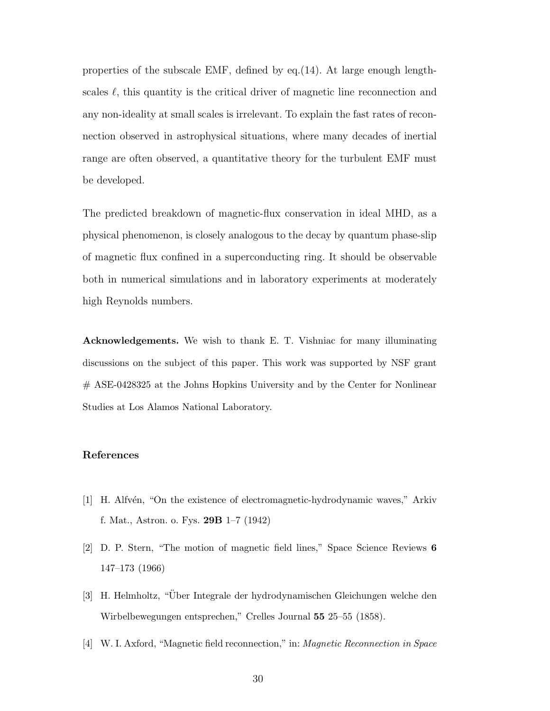properties of the subscale EMF, defined by eq.(14). At large enough lengthscales  $\ell$ , this quantity is the critical driver of magnetic line reconnection and any non-ideality at small scales is irrelevant. To explain the fast rates of reconnection observed in astrophysical situations, where many decades of inertial range are often observed, a quantitative theory for the turbulent EMF must be developed.

The predicted breakdown of magnetic-flux conservation in ideal MHD, as a physical phenomenon, is closely analogous to the decay by quantum phase-slip of magnetic flux confined in a superconducting ring. It should be observable both in numerical simulations and in laboratory experiments at moderately high Reynolds numbers.

Acknowledgements. We wish to thank E. T. Vishniac for many illuminating discussions on the subject of this paper. This work was supported by NSF grant # ASE-0428325 at the Johns Hopkins University and by the Center for Nonlinear Studies at Los Alamos National Laboratory.

#### References

- [1] H. Alfvén, "On the existence of electromagnetic-hydrodynamic waves," Arkiv f. Mat., Astron. o. Fys. 29B 1–7 (1942)
- [2] D. P. Stern, "The motion of magnetic field lines," Space Science Reviews 6 147–173 (1966)
- [3] H. Helmholtz, "Über Integrale der hydrodynamischen Gleichungen welche den Wirbelbewegungen entsprechen," Crelles Journal 55 25–55 (1858).
- [4] W. I. Axford, "Magnetic field reconnection," in: Magnetic Reconnection in Space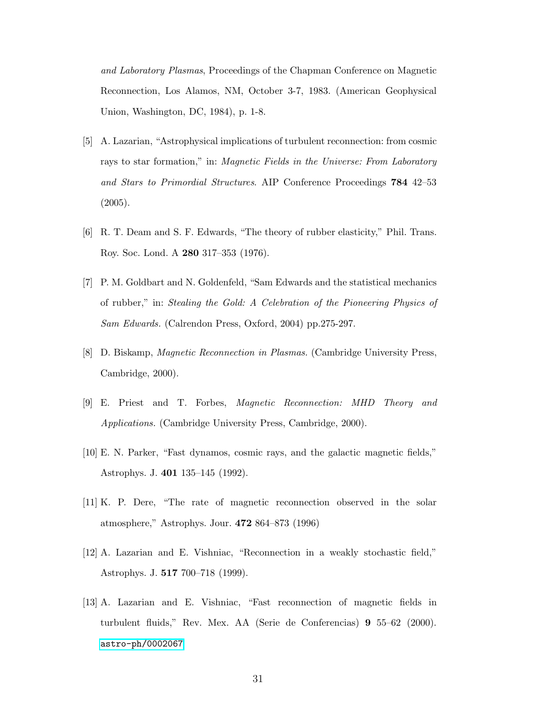and Laboratory Plasmas, Proceedings of the Chapman Conference on Magnetic Reconnection, Los Alamos, NM, October 3-7, 1983. (American Geophysical Union, Washington, DC, 1984), p. 1-8.

- [5] A. Lazarian, "Astrophysical implications of turbulent reconnection: from cosmic rays to star formation," in: Magnetic Fields in the Universe: From Laboratory and Stars to Primordial Structures. AIP Conference Proceedings 784 42–53 (2005).
- [6] R. T. Deam and S. F. Edwards, "The theory of rubber elasticity," Phil. Trans. Roy. Soc. Lond. A 280 317–353 (1976).
- [7] P. M. Goldbart and N. Goldenfeld, "Sam Edwards and the statistical mechanics of rubber," in: Stealing the Gold: A Celebration of the Pioneering Physics of Sam Edwards. (Calrendon Press, Oxford, 2004) pp.275-297.
- [8] D. Biskamp, Magnetic Reconnection in Plasmas. (Cambridge University Press, Cambridge, 2000).
- [9] E. Priest and T. Forbes, Magnetic Reconnection: MHD Theory and Applications. (Cambridge University Press, Cambridge, 2000).
- [10] E. N. Parker, "Fast dynamos, cosmic rays, and the galactic magnetic fields," Astrophys. J. 401 135–145 (1992).
- [11] K. P. Dere, "The rate of magnetic reconnection observed in the solar atmosphere," Astrophys. Jour. 472 864–873 (1996)
- [12] A. Lazarian and E. Vishniac, "Reconnection in a weakly stochastic field," Astrophys. J. 517 700–718 (1999).
- [13] A. Lazarian and E. Vishniac, "Fast reconnection of magnetic fields in turbulent fluids," Rev. Mex. AA (Serie de Conferencias) 9 55–62 (2000). [astro-ph/0002067](http://arxiv.org/abs/astro-ph/0002067)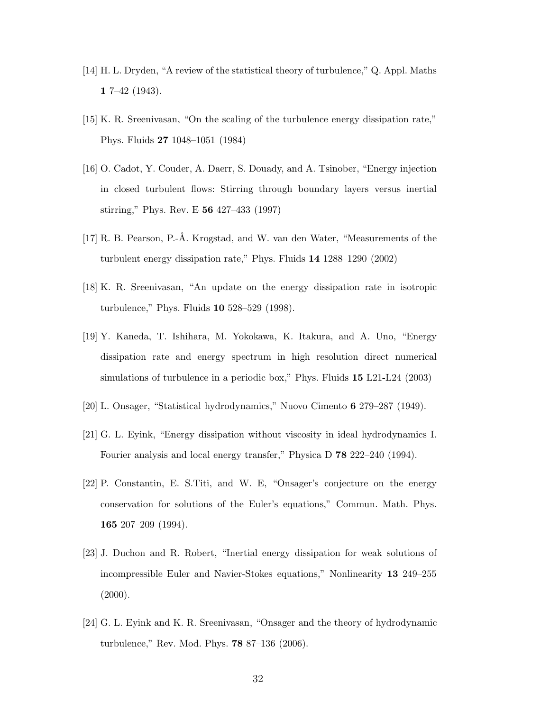- [14] H. L. Dryden, "A review of the statistical theory of turbulence," Q. Appl. Maths 1 7–42 (1943).
- [15] K. R. Sreenivasan, "On the scaling of the turbulence energy dissipation rate," Phys. Fluids 27 1048–1051 (1984)
- [16] O. Cadot, Y. Couder, A. Daerr, S. Douady, and A. Tsinober, "Energy injection in closed turbulent flows: Stirring through boundary layers versus inertial stirring," Phys. Rev. E 56 427–433 (1997)
- [17] R. B. Pearson, P.-Å. Krogstad, and W. van den Water, "Measurements of the turbulent energy dissipation rate," Phys. Fluids 14 1288–1290 (2002)
- [18] K. R. Sreenivasan, "An update on the energy dissipation rate in isotropic turbulence," Phys. Fluids 10 528–529 (1998).
- [19] Y. Kaneda, T. Ishihara, M. Yokokawa, K. Itakura, and A. Uno, "Energy dissipation rate and energy spectrum in high resolution direct numerical simulations of turbulence in a periodic box," Phys. Fluids 15 L21-L24 (2003)
- [20] L. Onsager, "Statistical hydrodynamics," Nuovo Cimento 6 279–287 (1949).
- [21] G. L. Eyink, "Energy dissipation without viscosity in ideal hydrodynamics I. Fourier analysis and local energy transfer," Physica D 78 222–240 (1994).
- [22] P. Constantin, E. S.Titi, and W. E, "Onsager's conjecture on the energy conservation for solutions of the Euler's equations," Commun. Math. Phys. 165 207–209 (1994).
- [23] J. Duchon and R. Robert, "Inertial energy dissipation for weak solutions of incompressible Euler and Navier-Stokes equations," Nonlinearity 13 249–255  $(2000).$
- [24] G. L. Eyink and K. R. Sreenivasan, "Onsager and the theory of hydrodynamic turbulence," Rev. Mod. Phys. 78 87–136 (2006).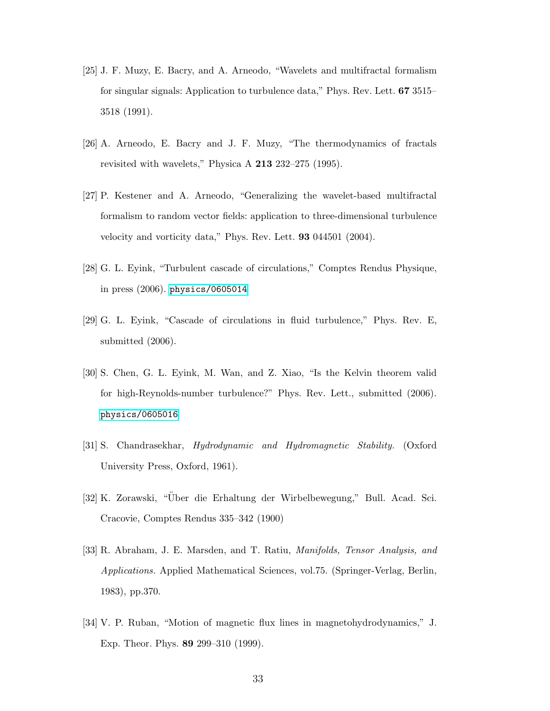- [25] J. F. Muzy, E. Bacry, and A. Arneodo, "Wavelets and multifractal formalism for singular signals: Application to turbulence data," Phys. Rev. Lett. 67 3515– 3518 (1991).
- [26] A. Arneodo, E. Bacry and J. F. Muzy, "The thermodynamics of fractals revisited with wavelets," Physica A 213 232–275 (1995).
- [27] P. Kestener and A. Arneodo, "Generalizing the wavelet-based multifractal formalism to random vector fields: application to three-dimensional turbulence velocity and vorticity data," Phys. Rev. Lett. 93 044501 (2004).
- [28] G. L. Eyink, "Turbulent cascade of circulations," Comptes Rendus Physique, in press (2006). [physics/0605014](http://arxiv.org/abs/physics/0605014)
- [29] G. L. Eyink, "Cascade of circulations in fluid turbulence," Phys. Rev. E, submitted (2006).
- [30] S. Chen, G. L. Eyink, M. Wan, and Z. Xiao, "Is the Kelvin theorem valid for high-Reynolds-number turbulence?" Phys. Rev. Lett., submitted (2006). [physics/0605016](http://arxiv.org/abs/physics/0605016)
- [31] S. Chandrasekhar, Hydrodynamic and Hydromagnetic Stability. (Oxford University Press, Oxford, 1961).
- [32] K. Zorawski, "Uber die Erhaltung der Wirbelbewegung," Bull. Acad. Sci. ¨ Cracovie, Comptes Rendus 335–342 (1900)
- [33] R. Abraham, J. E. Marsden, and T. Ratiu, Manifolds, Tensor Analysis, and Applications. Applied Mathematical Sciences, vol.75. (Springer-Verlag, Berlin, 1983), pp.370.
- [34] V. P. Ruban, "Motion of magnetic flux lines in magnetohydrodynamics," J. Exp. Theor. Phys. 89 299–310 (1999).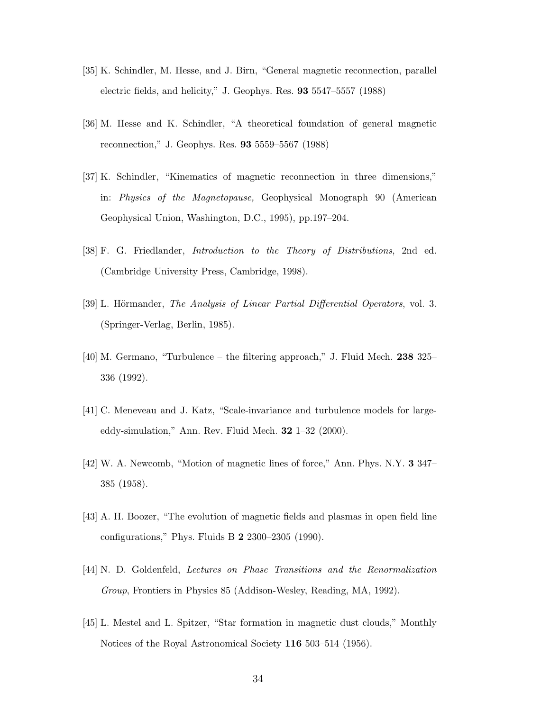- [35] K. Schindler, M. Hesse, and J. Birn, "General magnetic reconnection, parallel electric fields, and helicity," J. Geophys. Res. 93 5547–5557 (1988)
- [36] M. Hesse and K. Schindler, "A theoretical foundation of general magnetic reconnection," J. Geophys. Res. 93 5559–5567 (1988)
- [37] K. Schindler, "Kinematics of magnetic reconnection in three dimensions," in: Physics of the Magnetopause, Geophysical Monograph 90 (American Geophysical Union, Washington, D.C., 1995), pp.197–204.
- [38] F. G. Friedlander, Introduction to the Theory of Distributions, 2nd ed. (Cambridge University Press, Cambridge, 1998).
- [39] L. Hörmander, *The Analysis of Linear Partial Differential Operators*, vol. 3. (Springer-Verlag, Berlin, 1985).
- [40] M. Germano, "Turbulence the filtering approach," J. Fluid Mech. 238 325– 336 (1992).
- [41] C. Meneveau and J. Katz, "Scale-invariance and turbulence models for largeeddy-simulation," Ann. Rev. Fluid Mech.  $32 \text{ } 1\text{--}32 \text{ } (2000)$ .
- [42] W. A. Newcomb, "Motion of magnetic lines of force," Ann. Phys. N.Y. 3 347– 385 (1958).
- [43] A. H. Boozer, "The evolution of magnetic fields and plasmas in open field line configurations," Phys. Fluids B 2 2300–2305 (1990).
- [44] N. D. Goldenfeld, Lectures on Phase Transitions and the Renormalization Group, Frontiers in Physics 85 (Addison-Wesley, Reading, MA, 1992).
- [45] L. Mestel and L. Spitzer, "Star formation in magnetic dust clouds," Monthly Notices of the Royal Astronomical Society 116 503–514 (1956).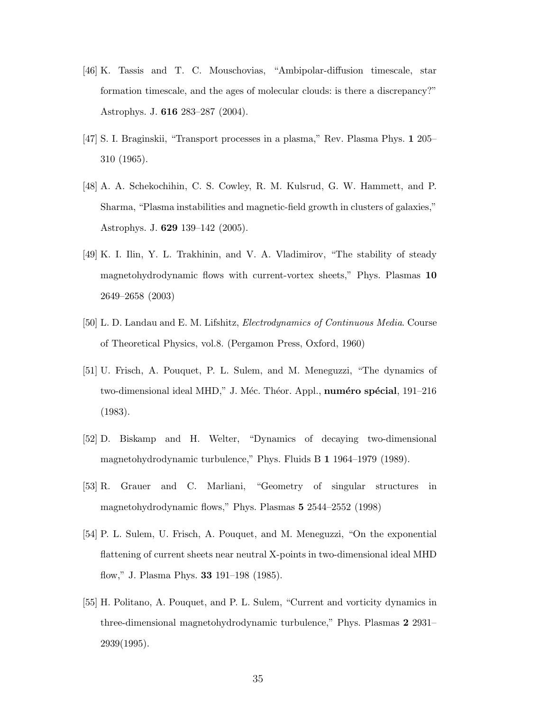- [46] K. Tassis and T. C. Mouschovias, "Ambipolar-diffusion timescale, star formation timescale, and the ages of molecular clouds: is there a discrepancy?" Astrophys. J. 616 283–287 (2004).
- [47] S. I. Braginskii, "Transport processes in a plasma," Rev. Plasma Phys. 1 205– 310 (1965).
- [48] A. A. Schekochihin, C. S. Cowley, R. M. Kulsrud, G. W. Hammett, and P. Sharma, "Plasma instabilities and magnetic-field growth in clusters of galaxies," Astrophys. J. 629 139–142 (2005).
- [49] K. I. Ilin, Y. L. Trakhinin, and V. A. Vladimirov, "The stability of steady magnetohydrodynamic flows with current-vortex sheets," Phys. Plasmas 10 2649–2658 (2003)
- [50] L. D. Landau and E. M. Lifshitz, Electrodynamics of Continuous Media. Course of Theoretical Physics, vol.8. (Pergamon Press, Oxford, 1960)
- [51] U. Frisch, A. Pouquet, P. L. Sulem, and M. Meneguzzi, "The dynamics of two-dimensional ideal MHD," J. Méc. Théor. Appl., numéro spécial, 191–216 (1983).
- [52] D. Biskamp and H. Welter, "Dynamics of decaying two-dimensional magnetohydrodynamic turbulence," Phys. Fluids B 1 1964–1979 (1989).
- [53] R. Grauer and C. Marliani, "Geometry of singular structures in magnetohydrodynamic flows," Phys. Plasmas 5 2544–2552 (1998)
- [54] P. L. Sulem, U. Frisch, A. Pouquet, and M. Meneguzzi, "On the exponential flattening of current sheets near neutral X-points in two-dimensional ideal MHD flow," J. Plasma Phys. 33 191–198 (1985).
- [55] H. Politano, A. Pouquet, and P. L. Sulem, "Current and vorticity dynamics in three-dimensional magnetohydrodynamic turbulence," Phys. Plasmas 2 2931– 2939(1995).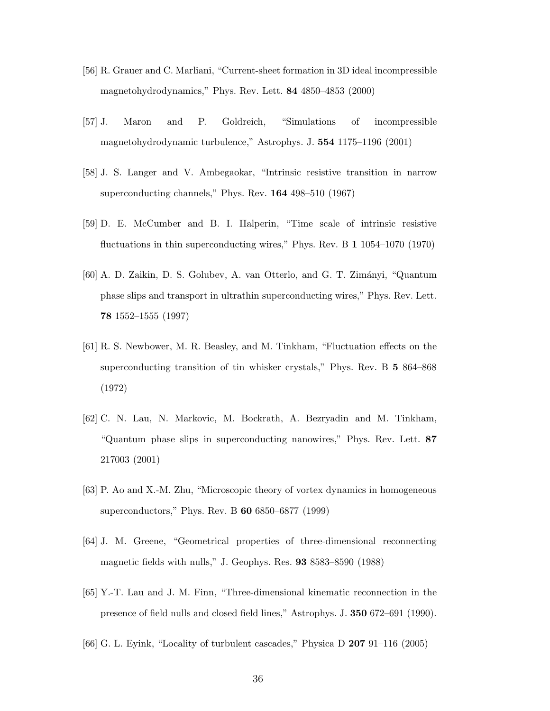- [56] R. Grauer and C. Marliani, "Current-sheet formation in 3D ideal incompressible magnetohydrodynamics," Phys. Rev. Lett. 84 4850–4853 (2000)
- [57] J. Maron and P. Goldreich, "Simulations of incompressible magnetohydrodynamic turbulence," Astrophys. J. 554 1175–1196 (2001)
- [58] J. S. Langer and V. Ambegaokar, "Intrinsic resistive transition in narrow superconducting channels," Phys. Rev. 164 498–510 (1967)
- [59] D. E. McCumber and B. I. Halperin, "Time scale of intrinsic resistive fluctuations in thin superconducting wires," Phys. Rev. B 1 1054–1070 (1970)
- [60] A. D. Zaikin, D. S. Golubev, A. van Otterlo, and G. T. Zim´anyi, "Quantum phase slips and transport in ultrathin superconducting wires," Phys. Rev. Lett. 78 1552–1555 (1997)
- [61] R. S. Newbower, M. R. Beasley, and M. Tinkham, "Fluctuation effects on the superconducting transition of tin whisker crystals," Phys. Rev. B 5 864–868 (1972)
- [62] C. N. Lau, N. Markovic, M. Bockrath, A. Bezryadin and M. Tinkham, "Quantum phase slips in superconducting nanowires," Phys. Rev. Lett. 87 217003 (2001)
- [63] P. Ao and X.-M. Zhu, "Microscopic theory of vortex dynamics in homogeneous superconductors," Phys. Rev. B 60 6850–6877 (1999)
- [64] J. M. Greene, "Geometrical properties of three-dimensional reconnecting magnetic fields with nulls," J. Geophys. Res. 93 8583–8590 (1988)
- [65] Y.-T. Lau and J. M. Finn, "Three-dimensional kinematic reconnection in the presence of field nulls and closed field lines," Astrophys. J. 350 672–691 (1990).
- [66] G. L. Eyink, "Locality of turbulent cascades," Physica D 207 91–116 (2005)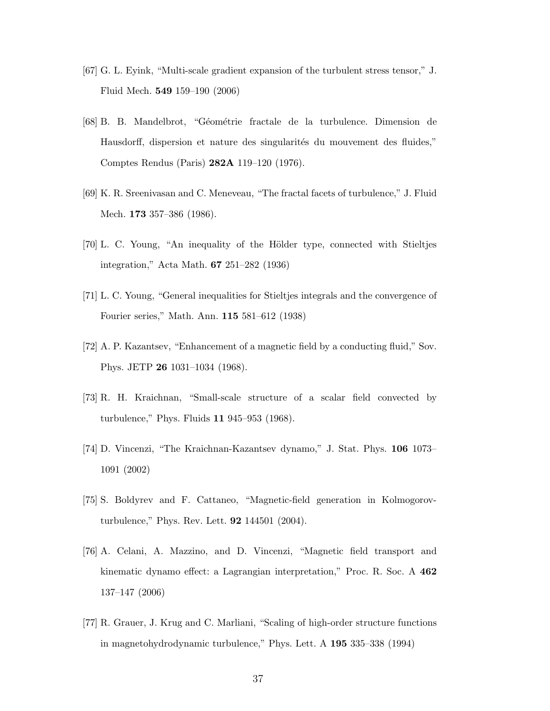- [67] G. L. Eyink, "Multi-scale gradient expansion of the turbulent stress tensor," J. Fluid Mech. 549 159–190 (2006)
- [68] B. B. Mandelbrot, "G´eom´etrie fractale de la turbulence. Dimension de Hausdorff, dispersion et nature des singularités du mouvement des fluides," Comptes Rendus (Paris) 282A 119–120 (1976).
- [69] K. R. Sreenivasan and C. Meneveau, "The fractal facets of turbulence," J. Fluid Mech. **173** 357–386 (1986).
- [70] L. C. Young, "An inequality of the Hölder type, connected with Stieltjes integration," Acta Math. 67 251–282 (1936)
- [71] L. C. Young, "General inequalities for Stieltjes integrals and the convergence of Fourier series," Math. Ann. 115 581–612 (1938)
- [72] A. P. Kazantsev, "Enhancement of a magnetic field by a conducting fluid," Sov. Phys. JETP 26 1031–1034 (1968).
- [73] R. H. Kraichnan, "Small-scale structure of a scalar field convected by turbulence," Phys. Fluids 11 945–953 (1968).
- [74] D. Vincenzi, "The Kraichnan-Kazantsev dynamo," J. Stat. Phys. 106 1073– 1091 (2002)
- [75] S. Boldyrev and F. Cattaneo, "Magnetic-field generation in Kolmogorovturbulence," Phys. Rev. Lett. 92 144501 (2004).
- [76] A. Celani, A. Mazzino, and D. Vincenzi, "Magnetic field transport and kinematic dynamo effect: a Lagrangian interpretation," Proc. R. Soc. A 462 137–147 (2006)
- [77] R. Grauer, J. Krug and C. Marliani, "Scaling of high-order structure functions in magnetohydrodynamic turbulence," Phys. Lett. A 195 335–338 (1994)